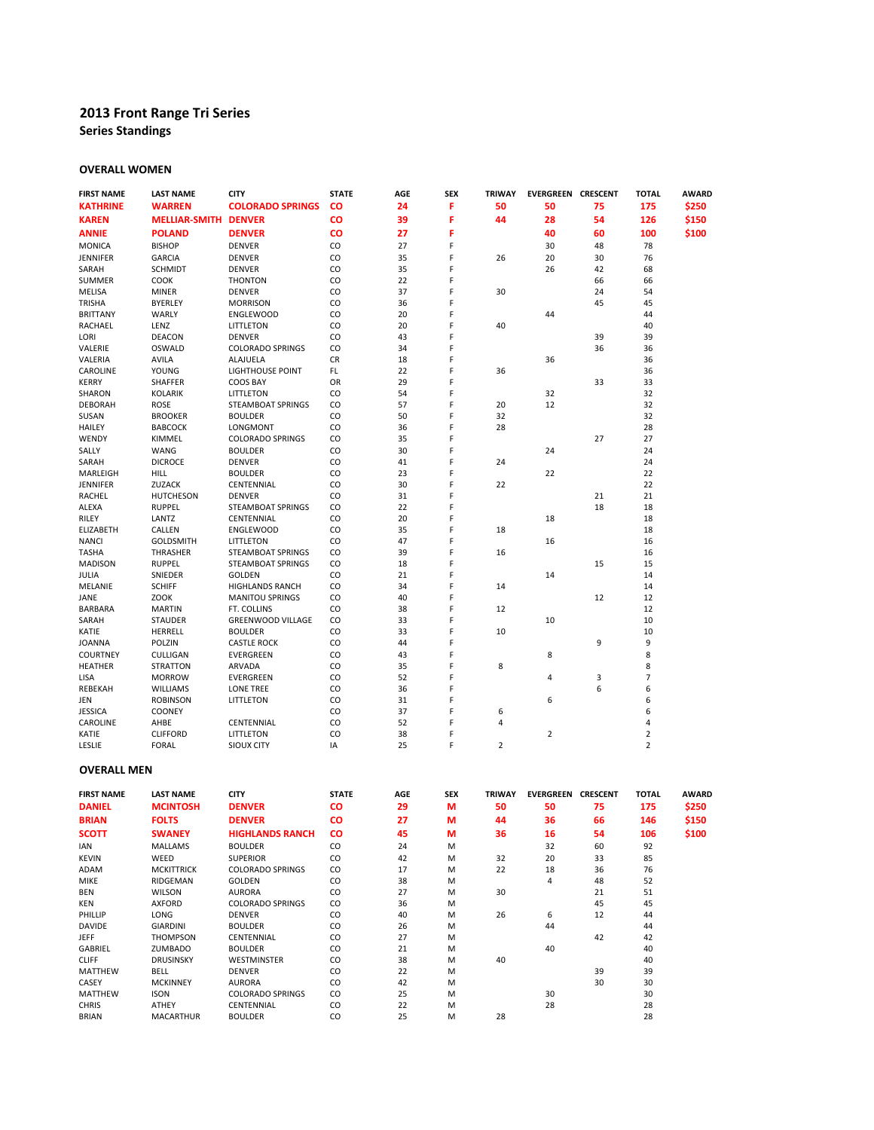# **2013 Front Range Tri Series**

**Series Standings**

# **OVERALL WOMEN**

| <b>FIRST NAME</b> | <b>LAST NAME</b>     | <b>CITY</b>              | <b>STATE</b> | AGE | <b>SEX</b> | <b>TRIWAY</b>  | <b>EVERGREEN CRESCENT</b> |    | <b>TOTAL</b>   | <b>AWARD</b> |
|-------------------|----------------------|--------------------------|--------------|-----|------------|----------------|---------------------------|----|----------------|--------------|
| <b>KATHRINE</b>   | <b>WARREN</b>        | <b>COLORADO SPRINGS</b>  | CO           | 24  | F          | 50             | 50                        | 75 | 175            | \$250        |
| <b>KAREN</b>      | <b>MELLIAR-SMITH</b> | <b>DENVER</b>            | CO           | 39  | F          | 44             | 28                        | 54 | 126            | \$150        |
| <b>ANNIE</b>      | <b>POLAND</b>        | <b>DENVER</b>            | CO           | 27  | F          |                | 40                        | 60 | 100            | \$100        |
| <b>MONICA</b>     | <b>BISHOP</b>        | <b>DENVER</b>            | CO           | 27  | F          |                | 30                        | 48 | 78             |              |
| JENNIFER          | <b>GARCIA</b>        | <b>DENVER</b>            | CO           | 35  | F          | 26             | 20                        | 30 | 76             |              |
| SARAH             | <b>SCHMIDT</b>       | <b>DENVER</b>            | CO           | 35  | F          |                | 26                        | 42 | 68             |              |
| <b>SUMMER</b>     | COOK                 | <b>THONTON</b>           | CO           | 22  | F          |                |                           | 66 | 66             |              |
| MELISA            | <b>MINER</b>         | <b>DENVER</b>            | CO           | 37  | F          | 30             |                           | 24 | 54             |              |
| <b>TRISHA</b>     | <b>BYERLEY</b>       | <b>MORRISON</b>          | CO           | 36  | F          |                |                           | 45 | 45             |              |
| <b>BRITTANY</b>   | WARLY                | <b>ENGLEWOOD</b>         | CO           | 20  | F          |                | 44                        |    | 44             |              |
| RACHAEL           | LENZ                 | LITTLETON                | CO           | 20  | F          | 40             |                           |    | 40             |              |
| LORI              | <b>DEACON</b>        | <b>DENVER</b>            | CO           | 43  | F          |                |                           | 39 | 39             |              |
| VALERIE           | OSWALD               | <b>COLORADO SPRINGS</b>  | CO           | 34  | F          |                |                           | 36 | 36             |              |
| VALERIA           | <b>AVILA</b>         | ALAJUELA                 | <b>CR</b>    | 18  | F          |                | 36                        |    | 36             |              |
| CAROLINE          | YOUNG                | <b>LIGHTHOUSE POINT</b>  | FL           | 22  | F          | 36             |                           |    | 36             |              |
| <b>KERRY</b>      | <b>SHAFFER</b>       | <b>COOS BAY</b>          | OR           | 29  | F          |                |                           | 33 | 33             |              |
| SHARON            | <b>KOLARIK</b>       | LITTLETON                | CO           | 54  | F          |                | 32                        |    | 32             |              |
| <b>DEBORAH</b>    | ROSE                 | STEAMBOAT SPRINGS        | CO           | 57  | F          | 20             | 12                        |    | 32             |              |
| SUSAN             | <b>BROOKER</b>       | <b>BOULDER</b>           | CO           | 50  | F          | 32             |                           |    | 32             |              |
| <b>HAILEY</b>     | <b>BABCOCK</b>       | LONGMONT                 | CO           | 36  | F          | 28             |                           |    | 28             |              |
| WENDY             | KIMMEL               | <b>COLORADO SPRINGS</b>  | CO           | 35  | F          |                |                           | 27 | 27             |              |
| SALLY             | <b>WANG</b>          | <b>BOULDER</b>           | CO           | 30  | F          |                | 24                        |    | 24             |              |
| SARAH             | <b>DICROCE</b>       | <b>DENVER</b>            | CO           | 41  | F          | 24             |                           |    | 24             |              |
| MARLEIGH          | <b>HILL</b>          | <b>BOULDER</b>           | CO           | 23  | F          |                | 22                        |    | 22             |              |
| <b>JENNIFER</b>   | ZUZACK               | CENTENNIAL               | CO           | 30  | F          | 22             |                           |    | 22             |              |
| <b>RACHEL</b>     | <b>HUTCHESON</b>     | <b>DENVER</b>            | CO           | 31  | F          |                |                           | 21 | 21             |              |
| ALEXA             | <b>RUPPEL</b>        | <b>STEAMBOAT SPRINGS</b> | CO           | 22  | F          |                |                           | 18 | 18             |              |
| RILEY             | LANTZ                | CENTENNIAL               | CO           | 20  | F          |                | 18                        |    | 18             |              |
| ELIZABETH         | CALLEN               | <b>ENGLEWOOD</b>         | CO           | 35  | F          | 18             |                           |    | 18             |              |
| <b>NANCI</b>      | <b>GOLDSMITH</b>     | LITTLETON                | CO           | 47  | F          |                | 16                        |    | 16             |              |
| <b>TASHA</b>      | THRASHER             | STEAMBOAT SPRINGS        | CO           | 39  | F          | 16             |                           |    | 16             |              |
| <b>MADISON</b>    | <b>RUPPEL</b>        | <b>STEAMBOAT SPRINGS</b> | CO           | 18  | F          |                |                           | 15 | 15             |              |
| JULIA             | SNIEDER              | <b>GOLDEN</b>            | CO           | 21  | F          |                | 14                        |    | 14             |              |
| MELANIE           | <b>SCHIFF</b>        | <b>HIGHLANDS RANCH</b>   | CO           | 34  | F          | 14             |                           |    | 14             |              |
| JANE              | <b>ZOOK</b>          | <b>MANITOU SPRINGS</b>   | CO           | 40  | F          |                |                           | 12 | 12             |              |
| <b>BARBARA</b>    | <b>MARTIN</b>        | FT. COLLINS              | CO           | 38  | F          | 12             |                           |    | 12             |              |
| SARAH             | <b>STAUDER</b>       | <b>GREENWOOD VILLAGE</b> | CO           | 33  | F          |                | 10                        |    | 10             |              |
| KATIE             | HERRELL              | <b>BOULDER</b>           | CO           | 33  | F          | 10             |                           |    | 10             |              |
| <b>JOANNA</b>     | POLZIN               | <b>CASTLE ROCK</b>       | CO           | 44  | F          |                |                           | 9  | 9              |              |
| <b>COURTNEY</b>   | CULLIGAN             | EVERGREEN                | CO           | 43  | F          |                | 8                         |    | 8              |              |
| <b>HEATHER</b>    | <b>STRATTON</b>      | ARVADA                   | CO           | 35  | F          | 8              |                           |    | 8              |              |
|                   |                      |                          |              | 52  | F          |                |                           |    | $\overline{7}$ |              |
| <b>LISA</b>       | <b>MORROW</b>        | EVERGREEN                | CO           |     |            |                | 4                         | 3  | 6              |              |
| REBEKAH           | WILLIAMS             | LONE TREE                | CO           | 36  | F<br>F     |                |                           | 6  |                |              |
| JEN               | <b>ROBINSON</b>      | LITTLETON                | CO           | 31  | F          |                | 6                         |    | 6              |              |
| <b>JESSICA</b>    | COONEY               |                          | CO           | 37  | F          | 6              |                           |    | 6              |              |
| CAROLINE          | AHBE                 | CENTENNIAL               | CO           | 52  |            | 4              |                           |    | $\overline{4}$ |              |
| KATIE             | <b>CLIFFORD</b>      | LITTLETON                | CO           | 38  | F          |                | $\overline{2}$            |    | $\overline{2}$ |              |
| LESLIE            | <b>FORAL</b>         | SIOUX CITY               | IA           | 25  | F          | $\overline{2}$ |                           |    | $\overline{2}$ |              |

# **OVERALL MEN**

| <b>FIRST NAME</b> | <b>LAST NAME</b>  | <b>CITY</b>             | <b>STATE</b> | <b>AGE</b> | <b>SEX</b> | <b>TRIWAY</b> | <b>EVERGREEN</b> | <b>CRESCENT</b> | <b>TOTAL</b> | <b>AWARD</b> |
|-------------------|-------------------|-------------------------|--------------|------------|------------|---------------|------------------|-----------------|--------------|--------------|
| <b>DANIEL</b>     | <b>MCINTOSH</b>   | <b>DENVER</b>           | <b>CO</b>    | 29         | M          | 50            | 50               | 75              | 175          | \$250        |
| <b>BRIAN</b>      | <b>FOLTS</b>      | <b>DENVER</b>           | <b>CO</b>    | 27         | M          | 44            | 36               | 66              | 146          | \$150        |
| <b>SCOTT</b>      | <b>SWANEY</b>     | <b>HIGHLANDS RANCH</b>  | <b>CO</b>    | 45         | M          | 36            | 16               | 54              | 106          | \$100        |
| <b>IAN</b>        | <b>MALLAMS</b>    | <b>BOULDER</b>          | CO           | 24         | M          |               | 32               | 60              | 92           |              |
| <b>KEVIN</b>      | WEED              | <b>SUPERIOR</b>         | CO           | 42         | M          | 32            | 20               | 33              | 85           |              |
| ADAM              | <b>MCKITTRICK</b> | <b>COLORADO SPRINGS</b> | CO           | 17         | M          | 22            | 18               | 36              | 76           |              |
| <b>MIKE</b>       | <b>RIDGEMAN</b>   | <b>GOLDEN</b>           | CO           | 38         | M          |               | 4                | 48              | 52           |              |
| <b>BEN</b>        | <b>WILSON</b>     | <b>AURORA</b>           | CO           | 27         | M          | 30            |                  | 21              | 51           |              |
| <b>KEN</b>        | <b>AXFORD</b>     | <b>COLORADO SPRINGS</b> | CO           | 36         | M          |               |                  | 45              | 45           |              |
| PHILLIP           | LONG              | <b>DENVER</b>           | CO           | 40         | M          | 26            | 6                | 12              | 44           |              |
| <b>DAVIDE</b>     | <b>GIARDINI</b>   | <b>BOULDER</b>          | CO           | 26         | M          |               | 44               |                 | 44           |              |
| <b>JEFF</b>       | <b>THOMPSON</b>   | CENTENNIAL              | CO           | 27         | M          |               |                  | 42              | 42           |              |
| <b>GABRIEL</b>    | ZUMBADO           | <b>BOULDER</b>          | CO           | 21         | M          |               | 40               |                 | 40           |              |
| <b>CLIFF</b>      | <b>DRUSINSKY</b>  | <b>WESTMINSTER</b>      | CO           | 38         | M          | 40            |                  |                 | 40           |              |
| <b>MATTHEW</b>    | <b>BELL</b>       | <b>DENVER</b>           | CO           | 22         | M          |               |                  | 39              | 39           |              |
| CASEY             | <b>MCKINNEY</b>   | <b>AURORA</b>           | CO           | 42         | M          |               |                  | 30              | 30           |              |
| <b>MATTHEW</b>    | <b>ISON</b>       | <b>COLORADO SPRINGS</b> | CO           | 25         | M          |               | 30               |                 | 30           |              |
| <b>CHRIS</b>      | <b>ATHEY</b>      | CENTENNIAL              | CO           | 22         | M          |               | 28               |                 | 28           |              |
| <b>BRIAN</b>      | <b>MACARTHUR</b>  | <b>BOULDER</b>          | CO           | 25         | M          | 28            |                  |                 | 28           |              |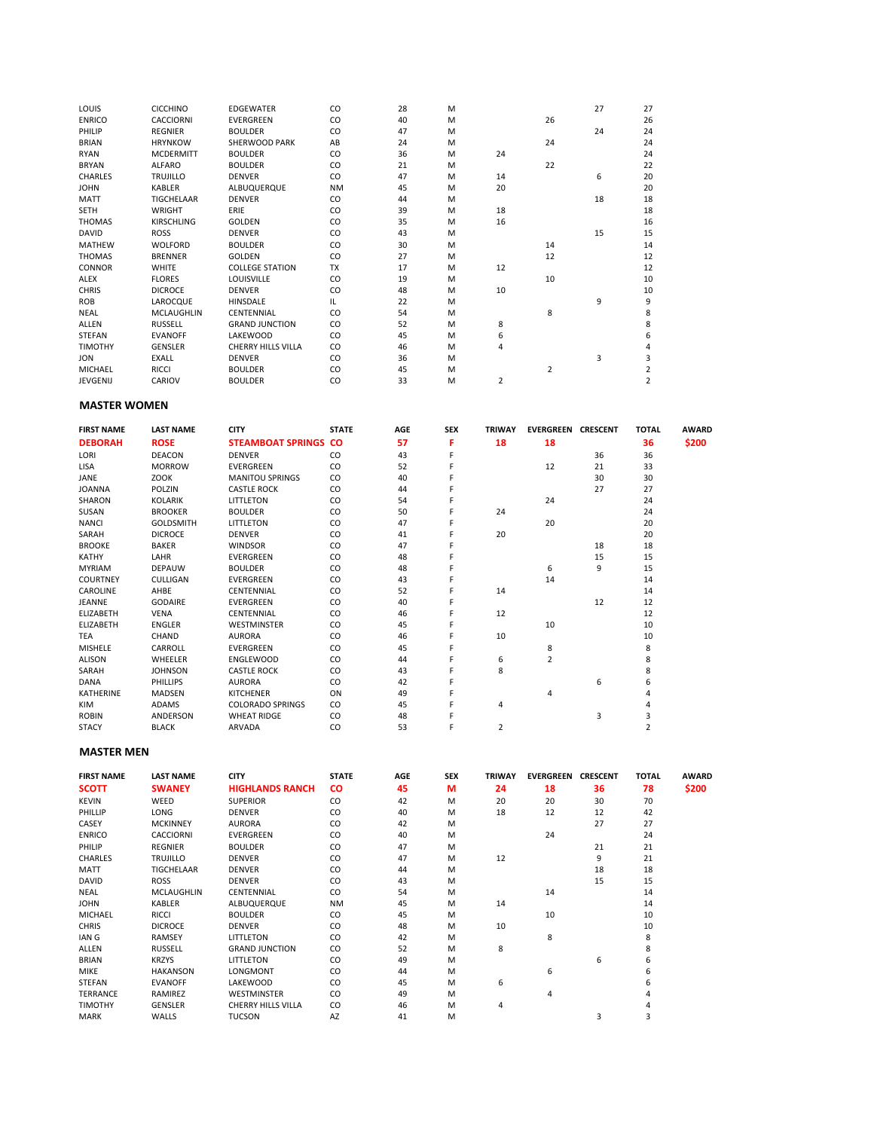| LOUIS          | <b>CICCHINO</b>   | <b>EDGEWATER</b>          | CO            | 28 | M |                |                | 27 | 27             |
|----------------|-------------------|---------------------------|---------------|----|---|----------------|----------------|----|----------------|
| <b>ENRICO</b>  | <b>CACCIORNI</b>  | <b>EVERGREEN</b>          | CO            | 40 | M |                | 26             |    | 26             |
| PHILIP         | <b>REGNIER</b>    | <b>BOULDER</b>            | CO            | 47 | M |                |                | 24 | 24             |
| <b>BRIAN</b>   | <b>HRYNKOW</b>    | SHERWOOD PARK             | AB            | 24 | M |                | 24             |    | 24             |
| <b>RYAN</b>    | <b>MCDERMITT</b>  | <b>BOULDER</b>            | CO            | 36 | M | 24             |                |    | 24             |
| <b>BRYAN</b>   | <b>ALFARO</b>     | <b>BOULDER</b>            | CO            | 21 | M |                | 22             |    | 22             |
| <b>CHARLES</b> | <b>TRUJILLO</b>   | <b>DENVER</b>             | CO            | 47 | M | 14             |                | 6  | 20             |
| <b>JOHN</b>    | <b>KABLER</b>     | ALBUQUERQUE               | <b>NM</b>     | 45 | M | 20             |                |    | 20             |
| <b>MATT</b>    | TIGCHFLAAR        | <b>DENVER</b>             | <sub>CO</sub> | 44 | M |                |                | 18 | 18             |
| <b>SETH</b>    | <b>WRIGHT</b>     | ERIE                      | CO            | 39 | M | 18             |                |    | 18             |
| <b>THOMAS</b>  | <b>KIRSCHLING</b> | <b>GOLDEN</b>             | CO            | 35 | M | 16             |                |    | 16             |
| <b>DAVID</b>   | <b>ROSS</b>       | <b>DENVER</b>             | CO            | 43 | M |                |                | 15 | 15             |
| <b>MATHEW</b>  | <b>WOLFORD</b>    | <b>BOULDER</b>            | CO            | 30 | M |                | 14             |    | 14             |
| <b>THOMAS</b>  | <b>BRENNER</b>    | <b>GOLDEN</b>             | CO            | 27 | M |                | 12             |    | 12             |
| <b>CONNOR</b>  | <b>WHITE</b>      | <b>COLLEGE STATION</b>    | <b>TX</b>     | 17 | M | 12             |                |    | 12             |
| ALEX           | <b>FLORES</b>     | <b>LOUISVILLE</b>         | CO            | 19 | M |                | 10             |    | 10             |
| <b>CHRIS</b>   | <b>DICROCE</b>    | <b>DENVER</b>             | CO            | 48 | M | 10             |                |    | 10             |
| <b>ROB</b>     | LAROCQUE          | <b>HINSDALE</b>           | IL.           | 22 | M |                |                | 9  | 9              |
| <b>NEAL</b>    | <b>MCLAUGHLIN</b> | CENTENNIAL                | CO            | 54 | M |                | 8              |    | 8              |
| <b>ALLEN</b>   | <b>RUSSELL</b>    | <b>GRAND JUNCTION</b>     | CO            | 52 | M | 8              |                |    | 8              |
| <b>STEFAN</b>  | <b>EVANOFF</b>    | LAKEWOOD                  | <sub>CO</sub> | 45 | M | 6              |                |    | 6              |
| <b>TIMOTHY</b> | <b>GENSLER</b>    | <b>CHERRY HILLS VILLA</b> | CO            | 46 | M | 4              |                |    | 4              |
| <b>JON</b>     | <b>EXALL</b>      | <b>DENVER</b>             | CO            | 36 | M |                |                | 3  | 3              |
| <b>MICHAEL</b> | <b>RICCI</b>      | <b>BOULDER</b>            | CO            | 45 | M |                | $\overline{2}$ |    | $\overline{2}$ |
| JEVGENIJ       | CARIOV            | <b>BOULDER</b>            | CO            | 33 | M | $\overline{2}$ |                |    | $\overline{2}$ |

#### **MASTER WOMEN**

| <b>FIRST NAME</b> | <b>LAST NAME</b> | <b>CITY</b>                 | <b>STATE</b> | <b>AGE</b> | SEX | <b>TRIWAY</b> | <b>EVERGREEN CRESCENT</b> |    | <b>TOTAL</b>   | <b>AWARD</b> |
|-------------------|------------------|-----------------------------|--------------|------------|-----|---------------|---------------------------|----|----------------|--------------|
| <b>DEBORAH</b>    | <b>ROSE</b>      | <b>STEAMBOAT SPRINGS CO</b> |              | 57         | F   | 18            | 18                        |    | 36             | \$200        |
| LORI              | <b>DEACON</b>    | <b>DENVER</b>               | CO           | 43         |     |               |                           | 36 | 36             |              |
| LISA              | <b>MORROW</b>    | EVERGREEN                   | CO           | 52         |     |               | 12                        | 21 | 33             |              |
| JANE              | ZOOK             | <b>MANITOU SPRINGS</b>      | CO           | 40         |     |               |                           | 30 | 30             |              |
| <b>JOANNA</b>     | POLZIN           | <b>CASTLE ROCK</b>          | CO           | 44         |     |               |                           | 27 | 27             |              |
| SHARON            | <b>KOLARIK</b>   | LITTLETON                   | CO           | 54         |     |               | 24                        |    | 24             |              |
| SUSAN             | <b>BROOKER</b>   | <b>BOULDER</b>              | CO           | 50         |     | 24            |                           |    | 24             |              |
| <b>NANCI</b>      | <b>GOLDSMITH</b> | LITTLETON                   | CO           | 47         |     |               | 20                        |    | 20             |              |
| SARAH             | <b>DICROCE</b>   | <b>DENVER</b>               | CO           | 41         |     | 20            |                           |    | 20             |              |
| <b>BROOKE</b>     | <b>BAKER</b>     | <b>WINDSOR</b>              | CO           | 47         |     |               |                           | 18 | 18             |              |
| KATHY             | LAHR             | <b>EVERGREEN</b>            | CO           | 48         |     |               |                           | 15 | 15             |              |
| <b>MYRIAM</b>     | <b>DEPAUW</b>    | <b>BOULDER</b>              | CO           | 48         |     |               | 6                         | 9  | 15             |              |
| <b>COURTNEY</b>   | CULLIGAN         | EVERGREEN                   | CO           | 43         |     |               | 14                        |    | 14             |              |
| CAROLINE          | AHBE             | CENTENNIAL                  | CO           | 52         |     | 14            |                           |    | 14             |              |
| JEANNE            | <b>GODAIRE</b>   | <b>EVERGREEN</b>            | CO           | 40         |     |               |                           | 12 | 12             |              |
| ELIZABETH         | <b>VENA</b>      | CENTENNIAL                  | CO           | 46         |     | 12            |                           |    | 12             |              |
| ELIZABETH         | <b>ENGLER</b>    | <b>WESTMINSTER</b>          | CO           | 45         |     |               | 10                        |    | 10             |              |
| TEA               | CHAND            | <b>AURORA</b>               | CO           | 46         |     | 10            |                           |    | 10             |              |
| <b>MISHELE</b>    | CARROLL          | <b>EVERGREEN</b>            | CO           | 45         |     |               | 8                         |    | 8              |              |
| <b>ALISON</b>     | WHEELER          | <b>ENGLEWOOD</b>            | CO           | 44         |     | 6             | 2                         |    | 8              |              |
| SARAH             | <b>JOHNSON</b>   | <b>CASTLE ROCK</b>          | CO           | 43         |     | 8             |                           |    | 8              |              |
| DANA              | PHILLIPS         | <b>AURORA</b>               | CO           | 42         |     |               |                           | 6  | 6              |              |
| <b>KATHERINE</b>  | MADSEN           | <b>KITCHENER</b>            | ON           | 49         |     |               | 4                         |    |                |              |
| KIM               | ADAMS            | <b>COLORADO SPRINGS</b>     | CO           | 45         |     | 4             |                           |    |                |              |
| <b>ROBIN</b>      | <b>ANDERSON</b>  | <b>WHEAT RIDGE</b>          | CO           | 48         |     |               |                           | 3  | 3              |              |
| <b>STACY</b>      | <b>BLACK</b>     | <b>ARVADA</b>               | CO           | 53         |     | 2             |                           |    | $\overline{2}$ |              |

#### **MASTER MEN**

| <b>FIRST NAME</b> | <b>LAST NAME</b>  | <b>CITY</b>               | <b>STATE</b> | AGE | <b>SEX</b> | <b>TRIWAY</b> | <b>EVERGREEN CRESCENT</b> |    | <b>TOTAL</b> | <b>AWARD</b> |
|-------------------|-------------------|---------------------------|--------------|-----|------------|---------------|---------------------------|----|--------------|--------------|
| <b>SCOTT</b>      | <b>SWANEY</b>     | <b>HIGHLANDS RANCH</b>    | <b>CO</b>    | 45  | M          | 24            | 18                        | 36 | 78           | \$200        |
| <b>KEVIN</b>      | WEED              | <b>SUPERIOR</b>           | CO           | 42  | M          | 20            | 20                        | 30 | 70           |              |
| PHILLIP           | LONG              | <b>DENVER</b>             | CO           | 40  | M          | 18            | 12                        | 12 | 42           |              |
| CASEY             | <b>MCKINNEY</b>   | <b>AURORA</b>             | CO           | 42  | M          |               |                           | 27 | 27           |              |
| <b>ENRICO</b>     | CACCIORNI         | EVERGREEN                 | CO           | 40  | M          |               | 24                        |    | 24           |              |
| PHILIP            | <b>REGNIER</b>    | <b>BOULDER</b>            | CO           | 47  | M          |               |                           | 21 | 21           |              |
| CHARLES           | <b>TRUJILLO</b>   | <b>DENVER</b>             | CO           | 47  | M          | 12            |                           | 9  | 21           |              |
| <b>MATT</b>       | TIGCHELAAR        | <b>DENVER</b>             | CO           | 44  | M          |               |                           | 18 | 18           |              |
| <b>DAVID</b>      | <b>ROSS</b>       | <b>DENVER</b>             | CO           | 43  | M          |               |                           | 15 | 15           |              |
| <b>NEAL</b>       | <b>MCLAUGHLIN</b> | CENTENNIAL                | CO           | 54  | M          |               | 14                        |    | 14           |              |
| <b>JOHN</b>       | KABLER            | ALBUQUERQUE               | <b>NM</b>    | 45  | M          | 14            |                           |    | 14           |              |
| <b>MICHAEL</b>    | <b>RICCI</b>      | <b>BOULDER</b>            | CO           | 45  | M          |               | 10                        |    | 10           |              |
| <b>CHRIS</b>      | <b>DICROCE</b>    | <b>DENVER</b>             | CO           | 48  | M          | 10            |                           |    | 10           |              |
| IAN G             | RAMSEY            | LITTLETON                 | CO           | 42  | M          |               | 8                         |    | 8            |              |
| <b>ALLEN</b>      | RUSSELL           | <b>GRAND JUNCTION</b>     | CO           | 52  | M          | 8             |                           |    | 8            |              |
| <b>BRIAN</b>      | <b>KRZYS</b>      | <b>LITTLETON</b>          | CO           | 49  | M          |               |                           | 6  | 6            |              |
| <b>MIKE</b>       | <b>HAKANSON</b>   | <b>LONGMONT</b>           | CO           | 44  | M          |               | 6                         |    | 6            |              |
| STEFAN            | <b>EVANOFF</b>    | LAKEWOOD                  | CO           | 45  | M          | 6             |                           |    | 6            |              |
| <b>TERRANCE</b>   | RAMIREZ           | <b>WESTMINSTER</b>        | CO           | 49  | M          |               | 4                         |    |              |              |
| <b>TIMOTHY</b>    | <b>GENSLER</b>    | <b>CHERRY HILLS VILLA</b> | CO           | 46  | M          | 4             |                           |    |              |              |
| <b>MARK</b>       | WALLS             | <b>TUCSON</b>             | AZ           | 41  | M          |               |                           | 3  | 3            |              |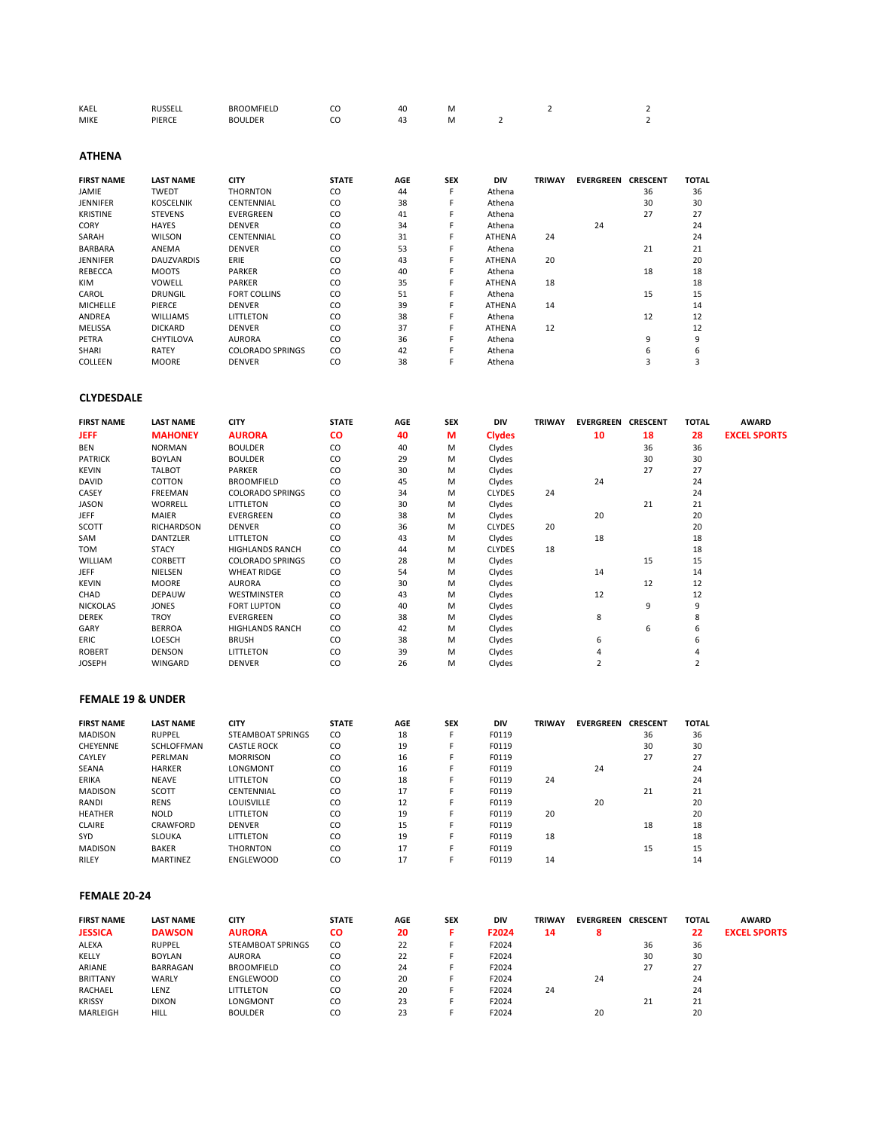| KAEL        | <b>DUCCEI</b> | <b>BROOMFIELD</b> | $\sim$ | 40 | M |  |  |
|-------------|---------------|-------------------|--------|----|---|--|--|
| <b>MIKE</b> | PIERCE        | <b>BOULDER</b>    | $\sim$ | А. | M |  |  |

**ATHENA**

| <b>FIRST NAME</b> | <b>LAST NAME</b>  | <b>CITY</b>             | <b>STATE</b> | <b>AGE</b> | <b>SEX</b> | <b>DIV</b>    | <b>TRIWAY</b> | <b>EVERGREEN</b> | <b>CRESCENT</b> | <b>TOTAL</b> |
|-------------------|-------------------|-------------------------|--------------|------------|------------|---------------|---------------|------------------|-----------------|--------------|
| JAMIE             | <b>TWEDT</b>      | <b>THORNTON</b>         | CO           | 44         | F          | Athena        |               |                  | 36              | 36           |
| <b>JENNIFER</b>   | <b>KOSCELNIK</b>  | CENTENNIAL              | CO           | 38         | F          | Athena        |               |                  | 30              | 30           |
| <b>KRISTINE</b>   | <b>STEVENS</b>    | <b>EVERGREEN</b>        | CO           | 41         | F          | Athena        |               |                  | 27              | 27           |
| <b>CORY</b>       | <b>HAYES</b>      | <b>DENVER</b>           | CO           | 34         | F          | Athena        |               | 24               |                 | 24           |
| SARAH             | <b>WILSON</b>     | CENTENNIAL              | CO           | 31         |            | <b>ATHENA</b> | 24            |                  |                 | 24           |
| <b>BARBARA</b>    | ANEMA             | <b>DENVER</b>           | CO           | 53         | F          | Athena        |               |                  | 21              | 21           |
| <b>JENNIFER</b>   | <b>DAUZVARDIS</b> | ERIE                    | CO           | 43         | F          | <b>ATHENA</b> | 20            |                  |                 | 20           |
| REBECCA           | <b>MOOTS</b>      | <b>PARKER</b>           | CO           | 40         | F          | Athena        |               |                  | 18              | 18           |
| <b>KIM</b>        | VOWELL            | <b>PARKER</b>           | CO           | 35         | F          | ATHENA        | 18            |                  |                 | 18           |
| CAROL             | <b>DRUNGIL</b>    | <b>FORT COLLINS</b>     | CO           | 51         | F          | Athena        |               |                  | 15              | 15           |
| <b>MICHELLE</b>   | PIERCE            | <b>DENVER</b>           | CO           | 39         | F          | ATHENA        | 14            |                  |                 | 14           |
| ANDREA            | <b>WILLIAMS</b>   | LITTLETON               | CO           | 38         | F          | Athena        |               |                  | 12              | 12           |
| <b>MELISSA</b>    | <b>DICKARD</b>    | <b>DENVER</b>           | CO           | 37         | F          | ATHENA        | 12            |                  |                 | 12           |
| PETRA             | <b>CHYTILOVA</b>  | <b>AURORA</b>           | CO           | 36         | F          | Athena        |               |                  | 9               | 9            |
| <b>SHARI</b>      | RATEY             | <b>COLORADO SPRINGS</b> | CO           | 42         | F          | Athena        |               |                  | 6               | 6            |
| COLLEEN           | <b>MOORE</b>      | <b>DENVER</b>           | CO           | 38         |            | Athena        |               |                  | 3               |              |

#### **CLYDESDALE**

| <b>FIRST NAME</b> | <b>LAST NAME</b>  | <b>CITY</b>             | <b>STATE</b> | <b>AGE</b> | <b>SEX</b> | DIV           | <b>TRIWAY</b> | <b>EVERGREEN</b> | <b>CRESCENT</b> | <b>TOTAL</b> | <b>AWARD</b>        |
|-------------------|-------------------|-------------------------|--------------|------------|------------|---------------|---------------|------------------|-----------------|--------------|---------------------|
| <b>JEFF</b>       | <b>MAHONEY</b>    | <b>AURORA</b>           | <b>CO</b>    | 40         | М          | <b>Clydes</b> |               | 10               | 18              | 28           | <b>EXCEL SPORTS</b> |
| <b>BEN</b>        | <b>NORMAN</b>     | <b>BOULDER</b>          | CO           | 40         | M          | Clydes        |               |                  | 36              | 36           |                     |
| <b>PATRICK</b>    | <b>BOYLAN</b>     | <b>BOULDER</b>          | CO           | 29         | M          | Clydes        |               |                  | 30              | 30           |                     |
| <b>KEVIN</b>      | <b>TALBOT</b>     | PARKER                  | CO           | 30         | M          | Clydes        |               |                  | 27              | 27           |                     |
| DAVID             | COTTON            | <b>BROOMFIELD</b>       | CO           | 45         | M          | Clydes        |               | 24               |                 | 24           |                     |
| CASEY             | FREEMAN           | <b>COLORADO SPRINGS</b> | CO.          | 34         | M          | <b>CLYDES</b> | 24            |                  |                 | 24           |                     |
| <b>JASON</b>      | <b>WORRELL</b>    | LITTLETON               | CO           | 30         | M          | Clydes        |               |                  | 21              | 21           |                     |
| <b>JEFF</b>       | MAIER             | EVERGREEN               | CO           | 38         | M          | Clydes        |               | 20               |                 | 20           |                     |
| SCOTT             | <b>RICHARDSON</b> | <b>DENVER</b>           | CO           | 36         | M          | <b>CLYDES</b> | 20            |                  |                 | 20           |                     |
| SAM               | <b>DANTZLER</b>   | LITTLETON               | CO           | 43         | M          | Clydes        |               | 18               |                 | 18           |                     |
| TOM               | <b>STACY</b>      | <b>HIGHLANDS RANCH</b>  | CO.          | 44         | M          | <b>CLYDES</b> | 18            |                  |                 | 18           |                     |
| WILLIAM           | <b>CORBETT</b>    | <b>COLORADO SPRINGS</b> | CO.          | 28         | M          | Clydes        |               |                  | 15              | 15           |                     |
| <b>JEFF</b>       | NIELSEN           | <b>WHEAT RIDGE</b>      | CO           | 54         | M          | Clydes        |               | 14               |                 | 14           |                     |
| <b>KEVIN</b>      | <b>MOORE</b>      | <b>AURORA</b>           | CO.          | 30         | M          | Clydes        |               |                  | 12              | 12           |                     |
| CHAD              | <b>DEPAUW</b>     | <b>WESTMINSTER</b>      | CO           | 43         | M          | Clydes        |               | 12               |                 | 12           |                     |
| <b>NICKOLAS</b>   | <b>JONES</b>      | <b>FORT LUPTON</b>      | CO           | 40         | M          | Clydes        |               |                  | 9               | 9            |                     |
| <b>DEREK</b>      | <b>TROY</b>       | <b>EVERGREEN</b>        | CO           | 38         | M          | Clydes        |               | 8                |                 | 8            |                     |
| GARY              | <b>BERROA</b>     | <b>HIGHLANDS RANCH</b>  | CO.          | 42         | M          | Clydes        |               |                  | 6               | 6            |                     |
| <b>ERIC</b>       | LOESCH            | <b>BRUSH</b>            | CO.          | 38         | M          | Clydes        |               | 6                |                 | 6            |                     |
| <b>ROBERT</b>     | <b>DENSON</b>     | LITTLETON               | CO           | 39         | M          | Clydes        |               |                  |                 |              |                     |
| <b>JOSEPH</b>     | <b>WINGARD</b>    | <b>DENVER</b>           | CO           | 26         | M          | Clydes        |               |                  |                 |              |                     |

# **FEMALE 19 & UNDER**

| <b>FIRST NAME</b> | <b>LAST NAME</b> | CITY                     | <b>STATE</b> | <b>AGE</b> | <b>SEX</b> | <b>DIV</b> | TRIWAY | <b>EVERGREEN</b> | <b>CRESCENT</b> | <b>TOTAL</b> |
|-------------------|------------------|--------------------------|--------------|------------|------------|------------|--------|------------------|-----------------|--------------|
| <b>MADISON</b>    | <b>RUPPEL</b>    | <b>STEAMBOAT SPRINGS</b> | CO.          | 18         |            | F0119      |        |                  | 36              | 36           |
| <b>CHEYENNE</b>   | SCHLOFFMAN       | <b>CASTLE ROCK</b>       | CO           | 19         |            | F0119      |        |                  | 30              | 30           |
| CAYLEY            | PERLMAN          | <b>MORRISON</b>          | CO           | 16         |            | F0119      |        |                  | 27              | 27           |
| <b>SEANA</b>      | <b>HARKER</b>    | LONGMONT                 | CO           | 16         |            | F0119      |        | 24               |                 | 24           |
| <b>ERIKA</b>      | <b>NEAVE</b>     | <b>LITTLETON</b>         | CO           | 18         |            | F0119      | 24     |                  |                 | 24           |
| <b>MADISON</b>    | <b>SCOTT</b>     | <b>CENTENNIAL</b>        | CO           | 17         |            | F0119      |        |                  | 21              | 21           |
| RANDI             | <b>RENS</b>      | <b>LOUISVILLE</b>        | CO           | 12         |            | F0119      |        | 20               |                 | 20           |
| <b>HEATHER</b>    | <b>NOLD</b>      | <b>LITTLETON</b>         | CO           | 19         |            | F0119      | 20     |                  |                 | 20           |
| <b>CLAIRE</b>     | CRAWFORD         | <b>DENVER</b>            | CO           | 15         |            | F0119      |        |                  | 18              | 18           |
| SYD.              | <b>SLOUKA</b>    | <b>LITTLETON</b>         | CO           | 19         |            | F0119      | 18     |                  |                 | 18           |
| <b>MADISON</b>    | <b>BAKER</b>     | <b>THORNTON</b>          | CO           | 17         |            | F0119      |        |                  | 15              | 15           |
| RILFY             | <b>MARTINFZ</b>  | <b>FNGLFWOOD</b>         | CO           | 17         |            | F0119      | 14     |                  |                 | 14           |

#### **FEMALE 20-24**

| <b>FIRST NAME</b> | <b>LAST NAME</b> | <b>CITY</b>       | <b>STATE</b> | AGE | <b>SEX</b> | <b>DIV</b> | <b>TRIWAY</b> | <b>EVERGREEN</b> | <b>CRESCENT</b> | <b>TOTAL</b> | <b>AWARD</b>        |
|-------------------|------------------|-------------------|--------------|-----|------------|------------|---------------|------------------|-----------------|--------------|---------------------|
| <b>JESSICA</b>    | <b>DAWSON</b>    | <b>AURORA</b>     | CO           | 20  |            | F2024      | 14            |                  |                 | 22           | <b>EXCEL SPORTS</b> |
| ALEXA             | <b>RUPPEL</b>    | STEAMBOAT SPRINGS | CO           | 22  |            | F2024      |               |                  | 36              | 36           |                     |
| KELLY             | <b>BOYLAN</b>    | <b>AURORA</b>     | CO           | 22  |            | F2024      |               |                  | 30              | 30           |                     |
| ARIANE            | BARRAGAN         | <b>BROOMFIELD</b> | CO           | 24  |            | F2024      |               |                  | 27              | 27           |                     |
| <b>BRITTANY</b>   | WARLY            | <b>ENGLEWOOD</b>  | CO           | 20  |            | F2024      |               | 24               |                 | 24           |                     |
| RACHAEL           | LENZ             | LITTLETON         | CO           | 20  |            | F2024      | 24            |                  |                 | 24           |                     |
| <b>KRISSY</b>     | <b>DIXON</b>     | LONGMONT          | CO           | 23  |            | F2024      |               |                  | 21              | 21           |                     |
| MARLEIGH          | HILL             | <b>BOULDER</b>    | CO           | 23  |            | F2024      |               | 20               |                 | 20           |                     |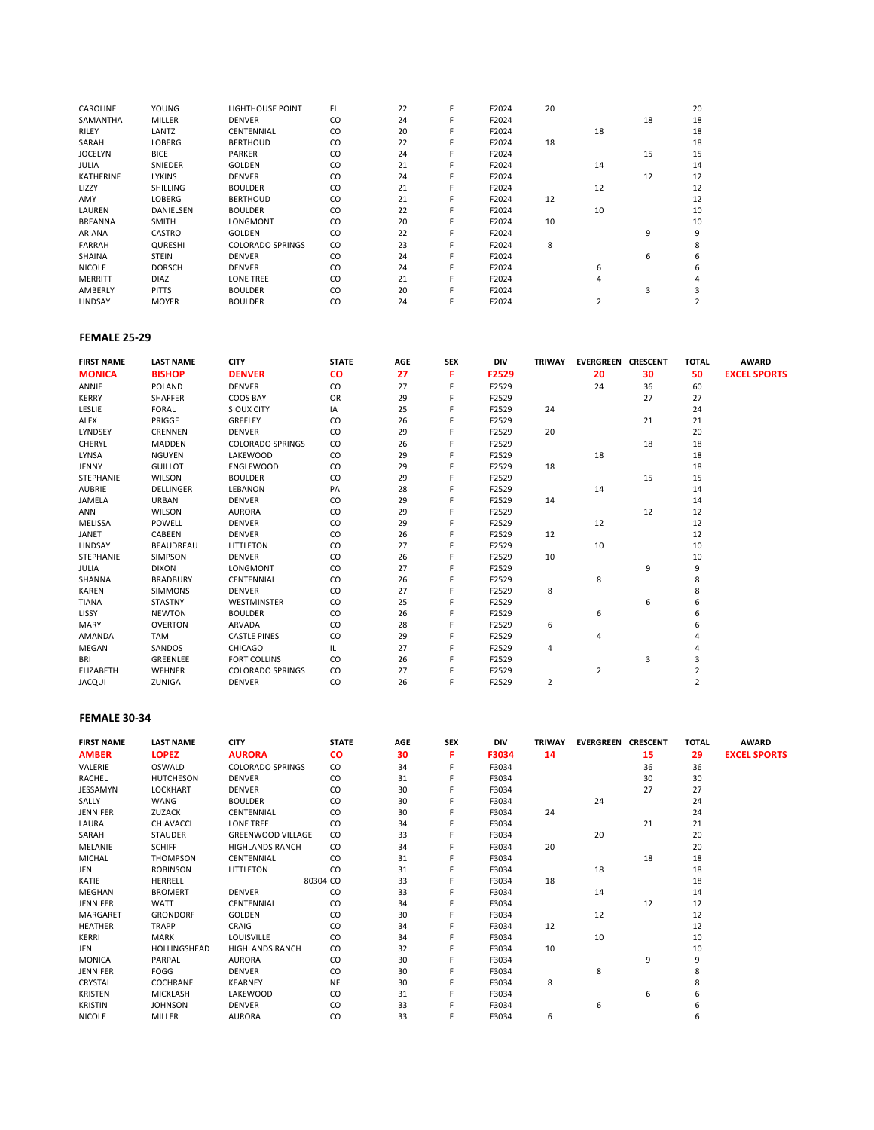| <b>CAROLINE</b>  | YOUNG           | <b>LIGHTHOUSE POINT</b> | FL. | 22 | F | F2024 | 20 |    |    | 20 |
|------------------|-----------------|-------------------------|-----|----|---|-------|----|----|----|----|
| SAMANTHA         | MILLER          | <b>DENVER</b>           | CO  | 24 |   | F2024 |    |    | 18 | 18 |
| <b>RILEY</b>     | LANTZ           | CENTENNIAL              | CO  | 20 |   | F2024 |    | 18 |    | 18 |
| SARAH            | <b>LOBERG</b>   | <b>BERTHOUD</b>         | CO  | 22 |   | F2024 | 18 |    |    | 18 |
| <b>JOCELYN</b>   | <b>BICE</b>     | <b>PARKER</b>           | CO  | 24 |   | F2024 |    |    | 15 | 15 |
| <b>JULIA</b>     | SNIEDER         | <b>GOLDEN</b>           | CO  | 21 |   | F2024 |    | 14 |    | 14 |
| <b>KATHERINE</b> | <b>LYKINS</b>   | <b>DENVER</b>           | CO  | 24 |   | F2024 |    |    | 12 | 12 |
| LIZZY            | <b>SHILLING</b> | <b>BOULDER</b>          | CO  | 21 |   | F2024 |    | 12 |    | 12 |
| AMY              | <b>LOBERG</b>   | <b>BERTHOUD</b>         | CO  | 21 |   | F2024 | 12 |    |    | 12 |
| LAUREN           | DANIELSEN       | <b>BOULDER</b>          | CO  | 22 |   | F2024 |    | 10 |    | 10 |
| <b>BREANNA</b>   | <b>SMITH</b>    | LONGMONT                | CO  | 20 | F | F2024 | 10 |    |    | 10 |
| ARIANA           | CASTRO          | <b>GOLDEN</b>           | CO  | 22 | F | F2024 |    |    | 9  | 9  |
| <b>FARRAH</b>    | <b>QURESHI</b>  | <b>COLORADO SPRINGS</b> | CO  | 23 | F | F2024 | 8  |    |    |    |
| <b>SHAINA</b>    | <b>STEIN</b>    | <b>DENVER</b>           | CO  | 24 |   | F2024 |    |    | 6  |    |
| <b>NICOLE</b>    | <b>DORSCH</b>   | <b>DENVER</b>           | CO  | 24 |   | F2024 |    | 6  |    |    |
| <b>MERRITT</b>   | <b>DIAZ</b>     | <b>LONE TREE</b>        | CO  | 21 |   | F2024 |    | 4  |    |    |
| AMBERLY          | <b>PITTS</b>    | <b>BOULDER</b>          | CO  | 20 |   | F2024 |    |    | ς  |    |
| LINDSAY          | <b>MOYER</b>    | <b>BOULDER</b>          | CO  | 24 |   | F2024 |    |    |    |    |

# **FEMALE 25-29**

| <b>FIRST NAME</b> | <b>LAST NAME</b> | <b>CITY</b>             | <b>STATE</b>  | <b>AGE</b> | <b>SEX</b> | DIV   | <b>TRIWAY</b> | <b>EVERGREEN CRESCENT</b> |    | <b>TOTAL</b>   | <b>AWARD</b>        |
|-------------------|------------------|-------------------------|---------------|------------|------------|-------|---------------|---------------------------|----|----------------|---------------------|
| <b>MONICA</b>     | <b>BISHOP</b>    | <b>DENVER</b>           | <b>CO</b>     | 27         | F          | F2529 |               | 20                        | 30 | 50             | <b>EXCEL SPORTS</b> |
| ANNIE             | POLAND           | <b>DENVER</b>           | CO.           | 27         |            | F2529 |               | 24                        | 36 | 60             |                     |
| <b>KERRY</b>      | SHAFFER          | COOS BAY                | OR            | 29         |            | F2529 |               |                           | 27 | 27             |                     |
| LESLIE            | <b>FORAL</b>     | <b>SIOUX CITY</b>       | IA            | 25         |            | F2529 | 24            |                           |    | 24             |                     |
| ALEX              | PRIGGE           | GREELEY                 | CO            | 26         |            | F2529 |               |                           | 21 | 21             |                     |
| LYNDSEY           | <b>CRENNEN</b>   | <b>DENVER</b>           | CO            | 29         |            | F2529 | 20            |                           |    | 20             |                     |
| CHERYL            | MADDEN           | <b>COLORADO SPRINGS</b> | CO.           | 26         |            | F2529 |               |                           | 18 | 18             |                     |
| LYNSA             | <b>NGUYEN</b>    | LAKEWOOD                | CO            | 29         |            | F2529 |               | 18                        |    | 18             |                     |
| JENNY             | <b>GUILLOT</b>   | <b>ENGLEWOOD</b>        | $\mathsf{co}$ | 29         |            | F2529 | 18            |                           |    | 18             |                     |
| STEPHANIE         | WILSON           | <b>BOULDER</b>          | CO            | 29         |            | F2529 |               |                           | 15 | 15             |                     |
| <b>AUBRIE</b>     | <b>DELLINGER</b> | LEBANON                 | PA            | 28         |            | F2529 |               | 14                        |    | 14             |                     |
| JAMELA            | URBAN            | <b>DENVER</b>           | CO            | 29         |            | F2529 | 14            |                           |    | 14             |                     |
| ANN               | <b>WILSON</b>    | <b>AURORA</b>           | CO            | 29         |            | F2529 |               |                           | 12 | 12             |                     |
| MELISSA           | POWELL           | <b>DENVER</b>           | CO            | 29         |            | F2529 |               | 12                        |    | 12             |                     |
| <b>JANET</b>      | CABEEN           | <b>DENVER</b>           | CO            | 26         |            | F2529 | 12            |                           |    | 12             |                     |
| LINDSAY           | BEAUDREAU        | LITTLETON               | CO            | 27         |            | F2529 |               | 10                        |    | 10             |                     |
| <b>STEPHANIE</b>  | SIMPSON          | <b>DENVER</b>           | CO            | 26         |            | F2529 | 10            |                           |    | 10             |                     |
| <b>JULIA</b>      | <b>DIXON</b>     | LONGMONT                | CO            | 27         |            | F2529 |               |                           | 9  | 9              |                     |
| SHANNA            | <b>BRADBURY</b>  | CENTENNIAL              | CO            | 26         |            | F2529 |               | 8                         |    | 8              |                     |
| <b>KAREN</b>      | <b>SIMMONS</b>   | <b>DENVER</b>           | CO            | 27         |            | F2529 | 8             |                           |    | 8              |                     |
| <b>TIANA</b>      | STASTNY          | WESTMINSTER             | $\mathsf{co}$ | 25         |            | F2529 |               |                           | 6  | 6              |                     |
| LISSY             | <b>NEWTON</b>    | <b>BOULDER</b>          | CO            | 26         |            | F2529 |               | 6                         |    | 6              |                     |
| MARY              | <b>OVERTON</b>   | ARVADA                  | CO            | 28         |            | F2529 | 6             |                           |    |                |                     |
| AMANDA            | TAM              | <b>CASTLE PINES</b>     | CO            | 29         |            | F2529 |               | 4                         |    |                |                     |
| <b>MEGAN</b>      | SANDOS           | CHICAGO                 | IL.           | 27         |            | F2529 | 4             |                           |    |                |                     |
| BRI               | GREENLEE         | <b>FORT COLLINS</b>     | CO            | 26         |            | F2529 |               |                           | 3  |                |                     |
| <b>ELIZABETH</b>  | <b>WEHNER</b>    | <b>COLORADO SPRINGS</b> | CO            | 27         |            | F2529 |               | 2                         |    |                |                     |
| <b>JACQUI</b>     | ZUNIGA           | <b>DENVER</b>           | CO            | 26         |            | F2529 | 2             |                           |    | $\overline{2}$ |                     |

### **FEMALE 30-34**

| <b>FIRST NAME</b> | <b>LAST NAME</b> | <b>CITY</b>              | <b>STATE</b> | AGE | <b>SEX</b> | <b>DIV</b> | <b>TRIWAY</b> | <b>EVERGREEN CRESCENT</b> |    | <b>TOTAL</b> | <b>AWARD</b>        |
|-------------------|------------------|--------------------------|--------------|-----|------------|------------|---------------|---------------------------|----|--------------|---------------------|
| <b>AMBER</b>      | <b>LOPEZ</b>     | <b>AURORA</b>            | <b>CO</b>    | 30  | F.         | F3034      | 14            |                           | 15 | 29           | <b>EXCEL SPORTS</b> |
| VALERIE           | OSWALD           | <b>COLORADO SPRINGS</b>  | CO.          | 34  | F          | F3034      |               |                           | 36 | 36           |                     |
| RACHEL            | <b>HUTCHESON</b> | <b>DENVER</b>            | CO           | 31  |            | F3034      |               |                           | 30 | 30           |                     |
| <b>JESSAMYN</b>   | <b>LOCKHART</b>  | <b>DENVER</b>            | CO           | 30  |            | F3034      |               |                           | 27 | 27           |                     |
| SALLY             | WANG             | <b>BOULDER</b>           | CO           | 30  |            | F3034      |               | 24                        |    | 24           |                     |
| <b>JENNIFER</b>   | ZUZACK           | CENTENNIAL               | CO           | 30  |            | F3034      | 24            |                           |    | 24           |                     |
| LAURA             | CHIAVACCI        | LONE TREE                | CO           | 34  |            | F3034      |               |                           | 21 | 21           |                     |
| SARAH             | <b>STAUDER</b>   | <b>GREENWOOD VILLAGE</b> | CO.          | 33  |            | F3034      |               | 20                        |    | 20           |                     |
| MELANIE           | <b>SCHIFF</b>    | <b>HIGHLANDS RANCH</b>   | CO.          | 34  |            | F3034      | 20            |                           |    | 20           |                     |
| MICHAL            | <b>THOMPSON</b>  | CENTENNIAL               | CO           | 31  |            | F3034      |               |                           | 18 | 18           |                     |
| JEN               | <b>ROBINSON</b>  | LITTLETON                | CO           | 31  |            | F3034      |               | 18                        |    | 18           |                     |
| KATIE             | <b>HERRELL</b>   |                          | 80304 CO     | 33  |            | F3034      | 18            |                           |    | 18           |                     |
| MEGHAN            | <b>BROMERT</b>   | <b>DENVER</b>            | CO           | 33  |            | F3034      |               | 14                        |    | 14           |                     |
| <b>JENNIFER</b>   | WATT             | CENTENNIAL               | CO           | 34  |            | F3034      |               |                           | 12 | 12           |                     |
| MARGARET          | <b>GRONDORF</b>  | GOLDEN                   | CO           | 30  |            | F3034      |               | 12                        |    | 12           |                     |
| <b>HEATHER</b>    | TRAPP            | CRAIG                    | CO.          | 34  |            | F3034      | 12            |                           |    | 12           |                     |
| KERRI             | MARK             | LOUISVILLE               | CO           | 34  |            | F3034      |               | 10                        |    | 10           |                     |
| JEN               | HOLLINGSHEAD     | <b>HIGHLANDS RANCH</b>   | CO.          | 32  |            | F3034      | 10            |                           |    | 10           |                     |
| <b>MONICA</b>     | PARPAL           | <b>AURORA</b>            | CO.          | 30  |            | F3034      |               |                           | 9  | 9            |                     |
| JENNIFER          | FOGG             | <b>DENVER</b>            | CO.          | 30  |            | F3034      |               | 8                         |    | 8            |                     |
| CRYSTAL           | COCHRANE         | <b>KEARNEY</b>           | <b>NE</b>    | 30  |            | F3034      | 8             |                           |    | 8            |                     |
| <b>KRISTEN</b>    | <b>MICKLASH</b>  | LAKEWOOD                 | CO.          | 31  |            | F3034      |               |                           | 6  | 6            |                     |
| <b>KRISTIN</b>    | <b>JOHNSON</b>   | <b>DENVER</b>            | CO           | 33  |            | F3034      |               | 6                         |    |              |                     |
| <b>NICOLE</b>     | <b>MILLER</b>    | <b>AURORA</b>            | CO           | 33  | F          | F3034      | 6             |                           |    | 6            |                     |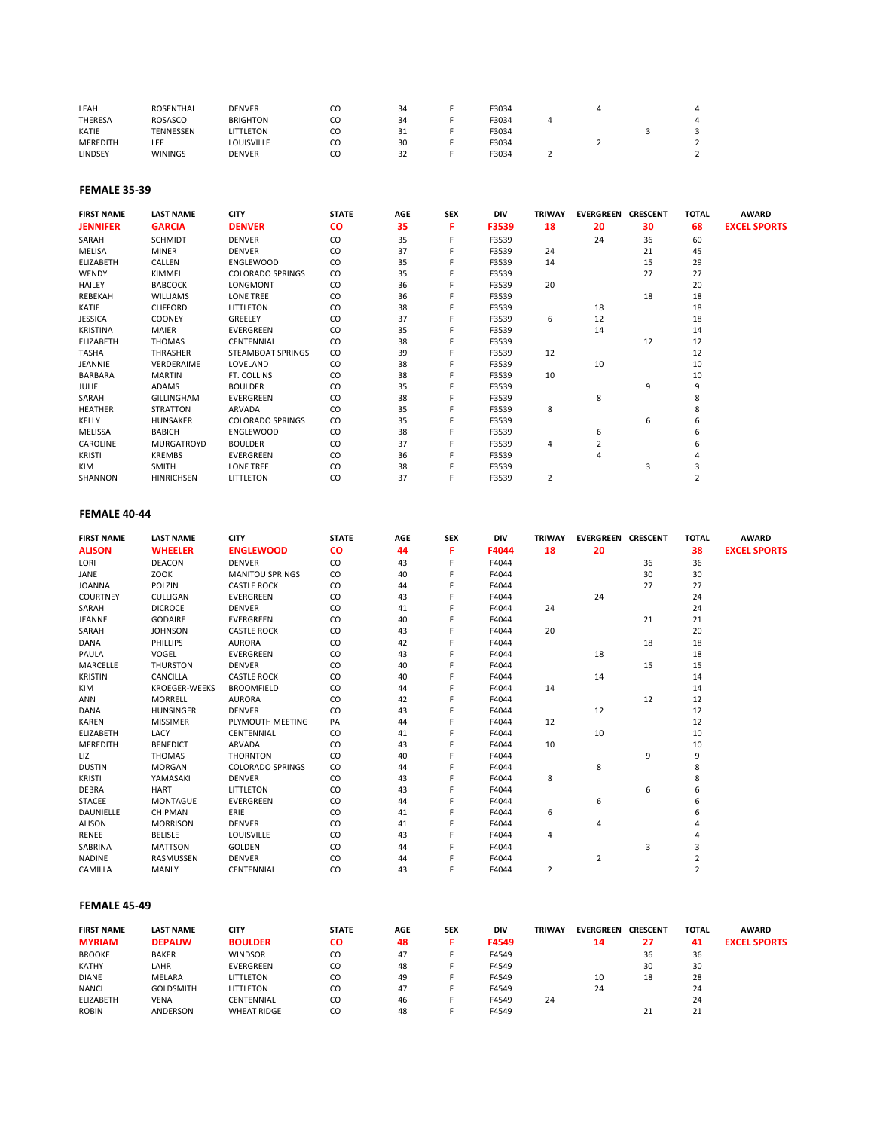| LEAH            | <b>ROSENTHAL</b> | <b>DENVER</b>     | CΟ | 34  | F3034 |  |  |
|-----------------|------------------|-------------------|----|-----|-------|--|--|
| THERESA         | <b>ROSASCO</b>   | <b>BRIGHTON</b>   | CΟ | 34  | ™3034 |  |  |
| KATIE           | <b>TENNESSEN</b> | LITTLETON         | CΟ | -31 | F3034 |  |  |
| <b>MEREDITH</b> | LEE              | <b>LOUISVILLE</b> | CΟ | 30  | F3034 |  |  |
| LINDSEY         | <b>WININGS</b>   | <b>DENVER</b>     |    | 32  | F3034 |  |  |

#### **FEMALE 35-39**

| <b>FIRST NAME</b> | <b>LAST NAME</b>  | <b>CITY</b>             | <b>STATE</b> | AGE | <b>SEX</b> | DIV   | <b>TRIWAY</b> | <b>EVERGREEN CRESCENT</b> |    | <b>TOTAL</b> | <b>AWARD</b>        |
|-------------------|-------------------|-------------------------|--------------|-----|------------|-------|---------------|---------------------------|----|--------------|---------------------|
| <b>JENNIFER</b>   | <b>GARCIA</b>     | <b>DENVER</b>           | <b>CO</b>    | 35  | F          | F3539 | 18            | 20                        | 30 | 68           | <b>EXCEL SPORTS</b> |
| SARAH             | <b>SCHMIDT</b>    | <b>DENVER</b>           | CO           | 35  | Е          | F3539 |               | 24                        | 36 | 60           |                     |
| MELISA            | <b>MINER</b>      | <b>DENVER</b>           | CO           | 37  |            | F3539 | 24            |                           | 21 | 45           |                     |
| <b>ELIZABETH</b>  | CALLEN            | <b>ENGLEWOOD</b>        | CO           | 35  |            | F3539 | 14            |                           | 15 | 29           |                     |
| <b>WENDY</b>      | KIMMEL            | <b>COLORADO SPRINGS</b> | CO           | 35  |            | F3539 |               |                           | 27 | 27           |                     |
| <b>HAILEY</b>     | <b>BABCOCK</b>    | LONGMONT                | CO           | 36  |            | F3539 | 20            |                           |    | 20           |                     |
| REBEKAH           | <b>WILLIAMS</b>   | <b>LONE TREE</b>        | CO           | 36  |            | F3539 |               |                           | 18 | 18           |                     |
| KATIE             | <b>CLIFFORD</b>   | LITTLETON               | CO           | 38  |            | F3539 |               | 18                        |    | 18           |                     |
| <b>JESSICA</b>    | <b>COONEY</b>     | GREELEY                 | CO           | 37  |            | F3539 | 6             | 12                        |    | 18           |                     |
| <b>KRISTINA</b>   | MAIER             | EVERGREEN               | CO           | 35  |            | F3539 |               | 14                        |    | 14           |                     |
| <b>ELIZABETH</b>  | THOMAS            | CENTENNIAL              | CO           | 38  |            | F3539 |               |                           | 12 | 12           |                     |
| TASHA             | THRASHER          | STEAMBOAT SPRINGS       | CO.          | 39  |            | F3539 | 12            |                           |    | 12           |                     |
| JEANNIE           | VERDERAIME        | LOVELAND                | CO           | 38  |            | F3539 |               | 10                        |    | 10           |                     |
| BARBARA           | <b>MARTIN</b>     | FT. COLLINS             | CO           | 38  |            | F3539 | 10            |                           |    | 10           |                     |
| <b>JULIE</b>      | ADAMS             | <b>BOULDER</b>          | CO           | 35  |            | F3539 |               |                           | 9  | 9            |                     |
| SARAH             | GILLINGHAM        | EVERGREEN               | CO           | 38  |            | F3539 |               | 8                         |    |              |                     |
| <b>HEATHER</b>    | <b>STRATTON</b>   | ARVADA                  | CO           | 35  |            | F3539 | 8             |                           |    |              |                     |
| KELLY             | <b>HUNSAKER</b>   | <b>COLORADO SPRINGS</b> | CO.          | 35  |            | F3539 |               |                           | 6  |              |                     |
| MELISSA           | <b>BABICH</b>     | <b>ENGLEWOOD</b>        | CO           | 38  |            | F3539 |               | 6                         |    |              |                     |
| CAROLINE          | <b>MURGATROYD</b> | <b>BOULDER</b>          | CO           | 37  |            | F3539 | 4             |                           |    |              |                     |
| <b>KRISTI</b>     | <b>KREMBS</b>     | EVERGREEN               | CO           | 36  |            | F3539 |               | 4                         |    |              |                     |
| <b>KIM</b>        | <b>SMITH</b>      | <b>LONE TREE</b>        | CO           | 38  |            | F3539 |               |                           | 3  |              |                     |
| SHANNON           | <b>HINRICHSEN</b> | LITTLETON               | CO           | 37  |            | F3539 | 2             |                           |    | 2            |                     |

#### **FEMALE 40-44**

| <b>FIRST NAME</b>   | <b>LAST NAME</b>     | <b>CITY</b>             | <b>STATE</b> | AGE | <b>SEX</b> | DIV   | <b>TRIWAY</b> | <b>EVERGREEN CRESCENT</b> |    | <b>TOTAL</b>   | <b>AWARD</b>        |
|---------------------|----------------------|-------------------------|--------------|-----|------------|-------|---------------|---------------------------|----|----------------|---------------------|
| <b>ALISON</b>       | <b>WHEELER</b>       | <b>ENGLEWOOD</b>        | <b>CO</b>    | 44  | F          | F4044 | 18            | 20                        |    | 38             | <b>EXCEL SPORTS</b> |
| LORI                | DEACON               | <b>DENVER</b>           | CO           | 43  | F          | F4044 |               |                           | 36 | 36             |                     |
| JANE                | ZOOK                 | <b>MANITOU SPRINGS</b>  | CO           | 40  | F          | F4044 |               |                           | 30 | 30             |                     |
| <b>JOANNA</b>       | POLZIN               | <b>CASTLE ROCK</b>      | CO           | 44  |            | F4044 |               |                           | 27 | 27             |                     |
| <b>COURTNEY</b>     | CULLIGAN             | EVERGREEN               | CO           | 43  |            | F4044 |               | 24                        |    | 24             |                     |
| SARAH               | <b>DICROCE</b>       | <b>DENVER</b>           | CO           | 41  |            | F4044 | 24            |                           |    | 24             |                     |
| JEANNE              | GODAIRE              | EVERGREEN               | CO           | 40  |            | F4044 |               |                           | 21 | 21             |                     |
| SARAH               | <b>JOHNSON</b>       | <b>CASTLE ROCK</b>      | CO           | 43  |            | F4044 | 20            |                           |    | 20             |                     |
| DANA                | PHILLIPS             | <b>AURORA</b>           | CO           | 42  |            | F4044 |               |                           | 18 | 18             |                     |
| PAULA               | VOGEL                | <b>EVERGREEN</b>        | CO           | 43  |            | F4044 |               | 18                        |    | 18             |                     |
| MARCELLE            | <b>THURSTON</b>      | <b>DENVER</b>           | CO           | 40  |            | F4044 |               |                           | 15 | 15             |                     |
| <b>KRISTIN</b>      | CANCILLA             | <b>CASTLE ROCK</b>      | CO           | 40  | Е          | F4044 |               | 14                        |    | 14             |                     |
| KIM                 | <b>KROEGER-WEEKS</b> | <b>BROOMFIELD</b>       | CO           | 44  | F          | F4044 | 14            |                           |    | 14             |                     |
| ANN                 | <b>MORRELL</b>       | <b>AURORA</b>           | CO           | 42  |            | F4044 |               |                           | 12 | 12             |                     |
| DANA                | HUNSINGER            | <b>DENVER</b>           | CO           | 43  |            | F4044 |               | 12                        |    | 12             |                     |
| <b>KAREN</b>        | <b>MISSIMER</b>      | PLYMOUTH MEETING        | PA           | 44  |            | F4044 | 12            |                           |    | 12             |                     |
| ELIZABETH           | LACY                 | CENTENNIAL              | CO           | 41  |            | F4044 |               | 10                        |    | 10             |                     |
| MEREDITH            | <b>BENEDICT</b>      | ARVADA                  | CO           | 43  |            | F4044 | 10            |                           |    | 10             |                     |
| LIZ                 | <b>THOMAS</b>        | <b>THORNTON</b>         | CO           | 40  | F          | F4044 |               |                           | 9  | 9              |                     |
| <b>DUSTIN</b>       | MORGAN               | <b>COLORADO SPRINGS</b> | CO           | 44  | F          | F4044 |               | 8                         |    | 8              |                     |
| KRISTI              | YAMASAKI             | <b>DENVER</b>           | CO           | 43  |            | F4044 | 8             |                           |    | 8              |                     |
| <b>DEBRA</b>        | <b>HART</b>          | LITTLETON               | CO           | 43  |            | F4044 |               |                           | 6  | 6              |                     |
| <b>STACEE</b>       | MONTAGUE             | EVERGREEN               | CO           | 44  |            | F4044 |               | 6                         |    | 6              |                     |
| DAUNIELLE           | CHIPMAN              | ERIE                    | CO           | 41  |            | F4044 | 6             |                           |    | 6              |                     |
| <b>ALISON</b>       | <b>MORRISON</b>      | <b>DENVER</b>           | CO           | 41  |            | F4044 |               | 4                         |    |                |                     |
| RENEE               | <b>BELISLE</b>       | LOUISVILLE              | CO           | 43  |            | F4044 | 4             |                           |    |                |                     |
| SABRINA             | <b>MATTSON</b>       | GOLDEN                  | CO           | 44  |            | F4044 |               |                           | 3  | 3              |                     |
| <b>NADINE</b>       | RASMUSSEN            | <b>DENVER</b>           | CO           | 44  | F          | F4044 |               | $\overline{2}$            |    | $\overline{2}$ |                     |
| CAMILLA             | <b>MANLY</b>         | CENTENNIAL              | CO           | 43  | F          | F4044 | 2             |                           |    | $\overline{2}$ |                     |
|                     |                      |                         |              |     |            |       |               |                           |    |                |                     |
|                     |                      |                         |              |     |            |       |               |                           |    |                |                     |
| <b>FEMALE 45-49</b> |                      |                         |              |     |            |       |               |                           |    |                |                     |

| <b>FIRST NAME</b> | <b>LAST NAME</b> | <b>CITY</b>        | <b>STATE</b> | AGE | <b>SEX</b> | <b>DIV</b> | <b>TRIWAY</b> | <b>EVERGREEN</b> | <b>CRESCENT</b> | <b>TOTAL</b> | <b>AWARD</b>        |
|-------------------|------------------|--------------------|--------------|-----|------------|------------|---------------|------------------|-----------------|--------------|---------------------|
| <b>MYRIAM</b>     | <b>DEPAUW</b>    | <b>BOULDER</b>     | CO           | 48  |            | F4549      |               | 14               | 27              | 41           | <b>EXCEL SPORTS</b> |
| <b>BROOKE</b>     | <b>BAKER</b>     | <b>WINDSOR</b>     | CO           | 47  |            | F4549      |               |                  | 36              | 36           |                     |
| <b>KATHY</b>      | LAHR             | <b>EVERGREEN</b>   | CO           | 48  |            | F4549      |               |                  | 30              | 30           |                     |
| <b>DIANE</b>      | MELARA           | LITTLETON          | CO           | 49  |            | F4549      |               | 10               | 18              | 28           |                     |
| <b>NANCI</b>      | <b>GOLDSMITH</b> | LITTLETON          | CO           | 47  |            | F4549      |               | 24               |                 | 24           |                     |
| <b>ELIZABETH</b>  | VENA             | CENTENNIAL         | CO           | 46  |            | F4549      | 24            |                  |                 | 24           |                     |
| <b>ROBIN</b>      | ANDERSON         | <b>WHEAT RIDGE</b> | CO           | 48  |            | F4549      |               |                  |                 |              |                     |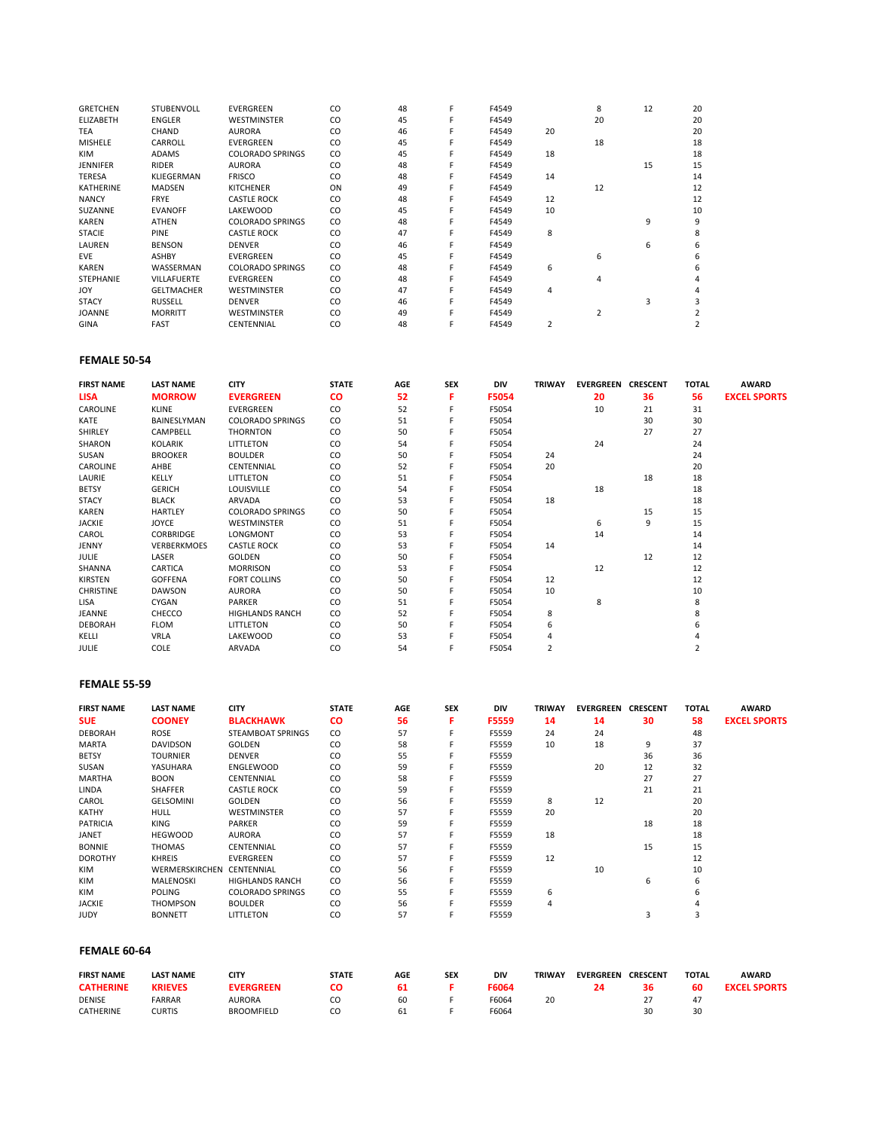| <b>GRETCHEN</b>  | <b>STUBENVOLL</b>  | <b>EVERGREEN</b>        | CO | 48 | F | F4549 |    | 8  | 12 | 20 |
|------------------|--------------------|-------------------------|----|----|---|-------|----|----|----|----|
| <b>ELIZABETH</b> | <b>ENGLER</b>      | <b>WESTMINSTER</b>      | CO | 45 |   | F4549 |    | 20 |    | 20 |
| <b>TEA</b>       | <b>CHAND</b>       | <b>AURORA</b>           | CO | 46 |   | F4549 | 20 |    |    | 20 |
| <b>MISHELE</b>   | CARROLL            | <b>EVERGREEN</b>        | CO | 45 |   | F4549 |    | 18 |    | 18 |
| <b>KIM</b>       | <b>ADAMS</b>       | <b>COLORADO SPRINGS</b> | CO | 45 |   | F4549 | 18 |    |    | 18 |
| <b>JENNIFER</b>  | <b>RIDER</b>       | <b>AURORA</b>           | CO | 48 |   | F4549 |    |    | 15 | 15 |
| <b>TERESA</b>    | KLIEGERMAN         | <b>FRISCO</b>           | CO | 48 |   | F4549 | 14 |    |    | 14 |
| <b>KATHERINE</b> | <b>MADSEN</b>      | <b>KITCHENER</b>        | ON | 49 |   | F4549 |    | 12 |    | 12 |
| <b>NANCY</b>     | <b>FRYE</b>        | <b>CASTLE ROCK</b>      | CO | 48 | F | F4549 | 12 |    |    | 12 |
| SUZANNE          | <b>EVANOFF</b>     | LAKEWOOD                | CO | 45 |   | F4549 | 10 |    |    | 10 |
| <b>KAREN</b>     | <b>ATHEN</b>       | <b>COLORADO SPRINGS</b> | CO | 48 |   | F4549 |    |    | 9  | 9  |
| <b>STACIE</b>    | <b>PINE</b>        | <b>CASTLE ROCK</b>      | CO | 47 |   | F4549 | 8  |    |    |    |
| LAUREN           | <b>BENSON</b>      | <b>DENVER</b>           | CO | 46 |   | F4549 |    |    | 6  | h  |
| <b>EVE</b>       | <b>ASHBY</b>       | <b>EVERGREEN</b>        | CO | 45 |   | F4549 |    | 6  |    |    |
| <b>KAREN</b>     | WASSERMAN          | <b>COLORADO SPRINGS</b> | CO | 48 |   | F4549 | 6  |    |    |    |
| <b>STEPHANIE</b> | <b>VILLAFUERTE</b> | <b>EVERGREEN</b>        | CO | 48 |   | F4549 |    |    |    |    |
| <b>JOY</b>       | <b>GELTMACHER</b>  | <b>WESTMINSTER</b>      | CO | 47 |   | F4549 | 4  |    |    |    |
| <b>STACY</b>     | <b>RUSSELL</b>     | <b>DENVER</b>           | CO | 46 |   | F4549 |    |    | 3  |    |
| <b>JOANNE</b>    | <b>MORRITT</b>     | <b>WESTMINSTER</b>      | CO | 49 |   | F4549 |    | 2  |    |    |
| <b>GINA</b>      | <b>FAST</b>        | CENTENNIAL              | CO | 48 |   | F4549 |    |    |    |    |

# **FEMALE 50-54**

| <b>FIRST NAME</b> | <b>LAST NAME</b>   | <b>CITY</b>             | <b>STATE</b> | AGE | <b>SEX</b> | <b>DIV</b> | <b>TRIWAY</b>  | <b>EVERGREEN</b> | <b>CRESCENT</b> | <b>TOTAL</b> | <b>AWARD</b>        |
|-------------------|--------------------|-------------------------|--------------|-----|------------|------------|----------------|------------------|-----------------|--------------|---------------------|
| <b>LISA</b>       | <b>MORROW</b>      | <b>EVERGREEN</b>        | <b>CO</b>    | 52  | F          | F5054      |                | 20               | 36              | 56           | <b>EXCEL SPORTS</b> |
| CAROLINE          | KLINE              | <b>EVERGREEN</b>        | CO           | 52  |            | F5054      |                | 10               | 21              | 31           |                     |
| KATE              | BAINESLYMAN        | <b>COLORADO SPRINGS</b> | CO           | 51  | F          | F5054      |                |                  | 30              | 30           |                     |
| SHIRLEY           | CAMPBELL           | <b>THORNTON</b>         | CO           | 50  |            | F5054      |                |                  | 27              | 27           |                     |
| SHARON            | <b>KOLARIK</b>     | LITTLETON               | CO           | 54  |            | F5054      |                | 24               |                 | 24           |                     |
| SUSAN             | <b>BROOKER</b>     | <b>BOULDER</b>          | CO           | 50  |            | F5054      | 24             |                  |                 | 24           |                     |
| CAROLINE          | AHBE               | CENTENNIAL              | CO           | 52  |            | F5054      | 20             |                  |                 | 20           |                     |
| LAURIE            | KELLY              | LITTLETON               | CO           | 51  |            | F5054      |                |                  | 18              | 18           |                     |
| <b>BETSY</b>      | <b>GERICH</b>      | LOUISVILLE              | CO           | 54  |            | F5054      |                | 18               |                 | 18           |                     |
| <b>STACY</b>      | <b>BLACK</b>       | ARVADA                  | CO           | 53  |            | F5054      | 18             |                  |                 | 18           |                     |
| KAREN             | <b>HARTLEY</b>     | <b>COLORADO SPRINGS</b> | CO           | 50  |            | F5054      |                |                  | 15              | 15           |                     |
| <b>JACKIE</b>     | JOYCE              | WESTMINSTER             | CO           | 51  |            | F5054      |                | 6                | 9               | 15           |                     |
| CAROL             | <b>CORBRIDGE</b>   | <b>LONGMONT</b>         | CO           | 53  |            | F5054      |                | 14               |                 | 14           |                     |
| JENNY             | <b>VERBERKMOES</b> | <b>CASTLE ROCK</b>      | CO           | 53  |            | F5054      | 14             |                  |                 | 14           |                     |
| JULIE             | LASER              | GOLDEN                  | CO           | 50  |            | F5054      |                |                  | 12              | 12           |                     |
| SHANNA            | CARTICA            | <b>MORRISON</b>         | CO           | 53  |            | F5054      |                | 12               |                 | 12           |                     |
| <b>KIRSTEN</b>    | <b>GOFFENA</b>     | <b>FORT COLLINS</b>     | CO           | 50  |            | F5054      | 12             |                  |                 | 12           |                     |
| <b>CHRISTINE</b>  | <b>DAWSON</b>      | <b>AURORA</b>           | CO           | 50  |            | F5054      | 10             |                  |                 | 10           |                     |
| LISA              | CYGAN              | PARKER                  | CO           | 51  |            | F5054      |                | 8                |                 | 8            |                     |
| JEANNE            | CHECCO             | <b>HIGHLANDS RANCH</b>  | CO           | 52  |            | F5054      | 8              |                  |                 |              |                     |
| <b>DEBORAH</b>    | <b>FLOM</b>        | LITTLETON               | CO           | 50  |            | F5054      | 6              |                  |                 |              |                     |
| KELLI             | <b>VRLA</b>        | LAKEWOOD                | CO           | 53  |            | F5054      | 4              |                  |                 |              |                     |
| <b>JULIE</b>      | <b>COLE</b>        | ARVADA                  | CO           | 54  |            | F5054      | $\overline{2}$ |                  |                 |              |                     |

# **FEMALE 55-59**

| <b>FIRST NAME</b> | <b>LAST NAME</b> | <b>CITY</b>             | <b>STATE</b> | AGE | <b>SEX</b> | <b>DIV</b> | <b>TRIWAY</b> | <b>EVERGREEN</b> | <b>CRESCENT</b> | <b>TOTAL</b> | <b>AWARD</b>        |
|-------------------|------------------|-------------------------|--------------|-----|------------|------------|---------------|------------------|-----------------|--------------|---------------------|
| <b>SUE</b>        | <b>COONEY</b>    | <b>BLACKHAWK</b>        | <b>CO</b>    | 56  |            | F5559      | 14            | 14               | 30              | 58           | <b>EXCEL SPORTS</b> |
| <b>DEBORAH</b>    | ROSE             | STEAMBOAT SPRINGS       | CO.          | 57  |            | F5559      | 24            | 24               |                 | 48           |                     |
| <b>MARTA</b>      | <b>DAVIDSON</b>  | GOLDEN                  | CO.          | 58  |            | F5559      | 10            | 18               | 9               | 37           |                     |
| <b>BETSY</b>      | <b>TOURNIER</b>  | <b>DENVER</b>           | CO           | 55  |            | F5559      |               |                  | 36              | 36           |                     |
| SUSAN             | YASUHARA         | <b>ENGLEWOOD</b>        | CO           | 59  |            | F5559      |               | 20               | 12              | 32           |                     |
| <b>MARTHA</b>     | <b>BOON</b>      | CENTENNIAL              | CO           | 58  |            | F5559      |               |                  | 27              | 27           |                     |
| LINDA             | <b>SHAFFER</b>   | <b>CASTLE ROCK</b>      | CO           | 59  |            | F5559      |               |                  | 21              | 21           |                     |
| CAROL             | <b>GELSOMINI</b> | GOLDEN                  | CO           | 56  |            | F5559      | 8             | 12               |                 | 20           |                     |
| KATHY             | <b>HULL</b>      | <b>WESTMINSTER</b>      | CO           | 57  |            | F5559      | 20            |                  |                 | 20           |                     |
| <b>PATRICIA</b>   | <b>KING</b>      | PARKER                  | CO           | 59  |            | F5559      |               |                  | 18              | 18           |                     |
| <b>JANET</b>      | <b>HEGWOOD</b>   | <b>AURORA</b>           | CO           | 57  |            | F5559      | 18            |                  |                 | 18           |                     |
| <b>BONNIE</b>     | <b>THOMAS</b>    | CENTENNIAL              | CO           | 57  |            | F5559      |               |                  | 15              | 15           |                     |
| <b>DOROTHY</b>    | <b>KHREIS</b>    | <b>EVERGREEN</b>        | CO           | 57  |            | F5559      | 12            |                  |                 | 12           |                     |
| <b>KIM</b>        | WERMERSKIRCHEN   | CENTENNIAL              | CO           | 56  |            | F5559      |               | 10               |                 | 10           |                     |
| <b>KIM</b>        | MALENOSKI        | <b>HIGHLANDS RANCH</b>  | CO.          | 56  |            | F5559      |               |                  | 6               | 6            |                     |
| <b>KIM</b>        | <b>POLING</b>    | <b>COLORADO SPRINGS</b> | CO.          | 55  |            | F5559      | 6             |                  |                 | h            |                     |
| <b>JACKIE</b>     | <b>THOMPSON</b>  | <b>BOULDER</b>          | CO           | 56  |            | F5559      | 4             |                  |                 |              |                     |
| <b>JUDY</b>       | <b>BONNETT</b>   | <b>LITTLETON</b>        | CO           | 57  |            | F5559      |               |                  |                 | 3            |                     |

# **FEMALE 60-64**

| <b>FIRST NAME</b> | <b>LAST NAME</b> | CITY              | <b>STATE</b> | <b>AGE</b> | SEX | DIV   | <b>TRIWAY</b> | <b>EVERGREEN</b> | <b>CRESCENT</b> | <b>TOTAL</b> | <b>AWARD</b>        |
|-------------------|------------------|-------------------|--------------|------------|-----|-------|---------------|------------------|-----------------|--------------|---------------------|
| <b>CATHERINE</b>  | <b>KRIEVES</b>   | <b>EVERGREEN</b>  |              | 61         |     | F6064 |               |                  | 36              | 60           | <b>EXCEL SPORTS</b> |
| <b>DENISE</b>     | FARRAR           | <b>AURORA</b>     | CO           | 60         |     | F6064 | 20            |                  |                 |              |                     |
| <b>CATHERINE</b>  | <b>CURTIS</b>    | <b>BROOMFIELD</b> | cо           | 61         |     | F6064 |               |                  |                 | 30           |                     |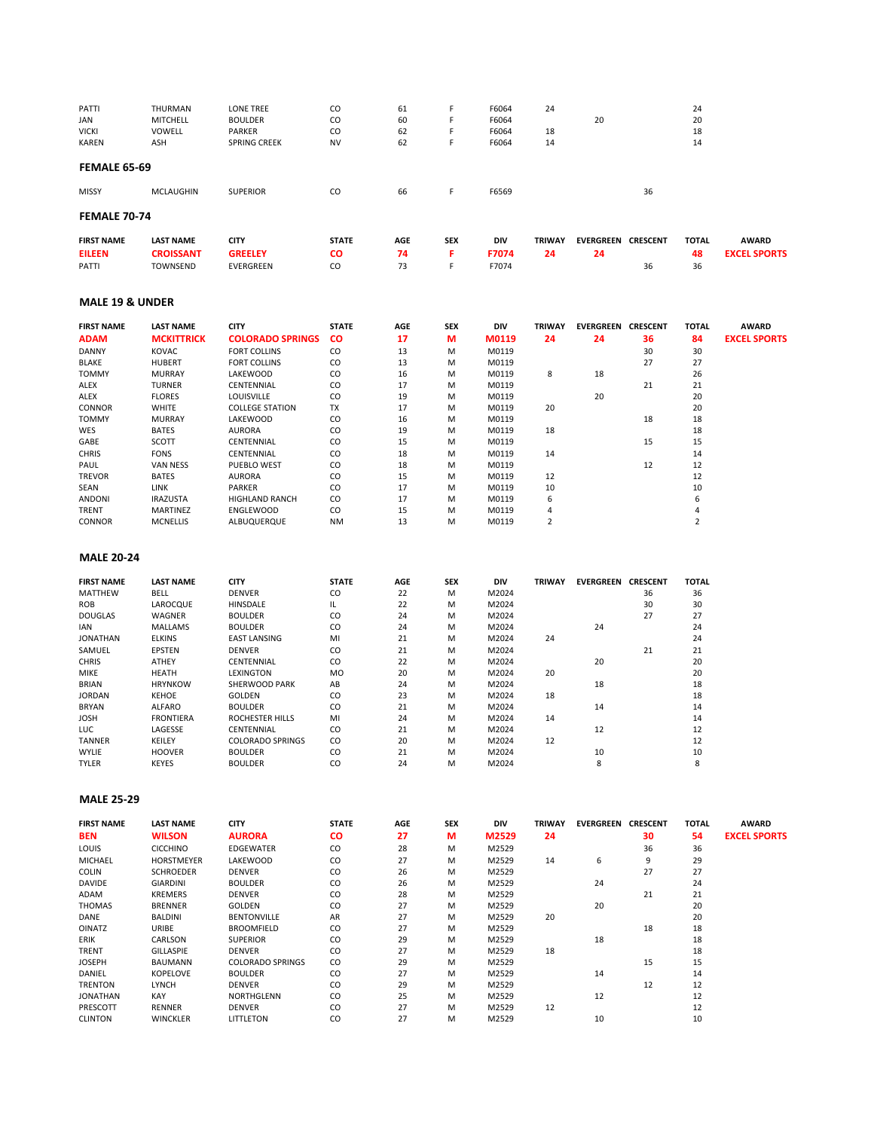| PATTI                      | THURMAN                     | <b>LONE TREE</b>                          | CO           | 61       | F          | F6064          | 24             |                           |    | 24             |                     |
|----------------------------|-----------------------------|-------------------------------------------|--------------|----------|------------|----------------|----------------|---------------------------|----|----------------|---------------------|
| JAN                        | MITCHELL                    | <b>BOULDER</b>                            | CO           | 60       | F          | F6064          |                | 20                        |    | 20             |                     |
| VICKI                      | VOWELL                      | PARKER                                    | CO           | 62       | F          | F6064          | 18             |                           |    | 18             |                     |
| KAREN                      | ASH                         | <b>SPRING CREEK</b>                       | <b>NV</b>    | 62       | F          | F6064          | 14             |                           |    | 14             |                     |
| <b>FEMALE 65-69</b>        |                             |                                           |              |          |            |                |                |                           |    |                |                     |
| <b>MISSY</b>               | <b>MCLAUGHIN</b>            | <b>SUPERIOR</b>                           | CO           | 66       | F          | F6569          |                |                           | 36 |                |                     |
| <b>FEMALE 70-74</b>        |                             |                                           |              |          |            |                |                |                           |    |                |                     |
|                            | <b>LAST NAME</b>            | <b>CITY</b>                               | <b>STATE</b> | AGE      | <b>SEX</b> | DIV            | <b>TRIWAY</b>  | <b>EVERGREEN CRESCENT</b> |    | <b>TOTAL</b>   | <b>AWARD</b>        |
| <b>FIRST NAME</b>          | <b>CROISSANT</b>            | <b>GREELEY</b>                            | CO           | 74       | F          | F7074          | 24             |                           |    | 48             | <b>EXCEL SPORTS</b> |
| EILEEN<br>PATTI            | TOWNSEND                    | EVERGREEN                                 | CO           | 73       | F          | F7074          |                | 24                        | 36 | 36             |                     |
|                            |                             |                                           |              |          |            |                |                |                           |    |                |                     |
| <b>MALE 19 &amp; UNDER</b> |                             |                                           |              |          |            |                |                |                           |    |                |                     |
| <b>FIRST NAME</b>          | <b>LAST NAME</b>            | <b>CITY</b>                               | <b>STATE</b> | AGE      | <b>SEX</b> | DIV            | <b>TRIWAY</b>  | <b>EVERGREEN CRESCENT</b> |    | <b>TOTAL</b>   | <b>AWARD</b>        |
| ADAM                       | <b>MCKITTRICK</b>           | <b>COLORADO SPRINGS</b>                   | <b>CO</b>    | 17       | М          | M0119          | 24             | 24                        | 36 | 84             | <b>EXCEL SPORTS</b> |
| DANNY                      | <b>KOVAC</b>                | <b>FORT COLLINS</b>                       | CO           | 13       | M          | M0119          |                |                           | 30 | 30             |                     |
| BLAKE                      | <b>HUBERT</b>               | <b>FORT COLLINS</b>                       | CO           | 13       | M          | M0119          |                |                           | 27 | 27             |                     |
| <b>TOMMY</b>               | <b>MURRAY</b>               | LAKEWOOD                                  | CO           | 16       | M          | M0119          | 8              | 18                        |    | 26             |                     |
| ALEX                       | <b>TURNER</b>               | CENTENNIAL                                | CO           | 17       | M          | M0119          |                |                           | 21 | 21             |                     |
| ALEX                       | <b>FLORES</b>               | LOUISVILLE                                | CO           | 19       | M          | M0119          |                | 20                        |    | 20             |                     |
| CONNOR                     | WHITE                       | <b>COLLEGE STATION</b>                    | TX           | 17       | M          | M0119          | 20             |                           |    | 20             |                     |
| <b>TOMMY</b>               | <b>MURRAY</b>               | LAKEWOOD                                  | CO           | 16       | M          | M0119          |                |                           | 18 | 18             |                     |
| WES                        | BATES                       | <b>AURORA</b>                             | CO           | 19       | M          | M0119          | 18             |                           |    | 18             |                     |
| GABE                       | <b>SCOTT</b>                | CENTENNIAL                                | CO           | 15       | М          | M0119          |                |                           | 15 | 15             |                     |
| <b>CHRIS</b>               | <b>FONS</b>                 | CENTENNIAL                                | CO           | 18       | M          | M0119          | 14             |                           |    | 14             |                     |
| PAUL                       | VAN NESS                    | PUEBLO WEST                               | CO           | 18       | M          | M0119          |                |                           | 12 | 12             |                     |
| <b>TREVOR</b>              | <b>BATES</b>                | <b>AURORA</b>                             | CO           |          |            | M0119          | 12             |                           |    | 12             |                     |
|                            | LINK                        | PARKER                                    | CO           | 15<br>17 | М          | M0119          | 10             |                           |    | 10             |                     |
| SEAN                       |                             |                                           |              |          | M          |                | 6              |                           |    | 6              |                     |
| ANDONI                     | <b>IRAZUSTA</b>             | <b>HIGHLAND RANCH</b><br><b>ENGLEWOOD</b> | CO<br>CO     | 17<br>15 | M<br>M     | M0119          | 4              |                           |    | 4              |                     |
| TRENT<br>CONNOR            | MARTINEZ<br><b>MCNELLIS</b> | ALBUQUERQUE                               | <b>NM</b>    | 13       | M          | M0119<br>M0119 | $\overline{2}$ |                           |    | $\overline{2}$ |                     |
| <b>MALE 20-24</b>          |                             |                                           |              |          |            |                |                |                           |    |                |                     |
| <b>FIRST NAME</b>          | <b>LAST NAME</b>            | <b>CITY</b>                               | <b>STATE</b> | AGE      | <b>SEX</b> | DIV            | <b>TRIWAY</b>  | <b>EVERGREEN CRESCENT</b> |    | <b>TOTAL</b>   |                     |
| <b>MATTHEW</b>             | BELL                        | <b>DENVER</b>                             | CO           | 22       | M          | M2024          |                |                           | 36 | 36             |                     |
| ROB                        | LAROCQUE                    | HINSDALE                                  | IL           | 22       | M          | M2024          |                |                           | 30 | 30             |                     |
| <b>DOUGLAS</b>             | WAGNER                      | <b>BOULDER</b>                            | CO           | 24       | M          | M2024          |                |                           | 27 | 27             |                     |
| IAN                        | <b>MALLAMS</b>              | <b>BOULDER</b>                            | CO           | 24       | M          | M2024          |                | 24                        |    | 24             |                     |
| JONATHAN                   | <b>ELKINS</b>               | <b>EAST LANSING</b>                       | MI           | 21       | M          | M2024          | 24             |                           |    | 24             |                     |
| SAMUEL                     | EPSTEN                      | <b>DENVER</b>                             | CO           | 21       | M          | M2024          |                |                           | 21 | 21             |                     |
| CHRIS                      | ATHEY                       | CENTENNIAL                                | CO           | 22       | M          | M2024          |                | 20                        |    | 20             |                     |
| MIKE                       | HEATH                       | <b>LEXINGTON</b>                          | MO           | 20       | M          | M2024          | 20             |                           |    | 20             |                     |
| <b>BRIAN</b>               | <b>HRYNKOW</b>              | SHERWOOD PARK                             | AB           | 24       | M          | M2024          |                | 18                        |    | 18             |                     |
| JORDAN                     | KEHOE                       | <b>GOLDEN</b>                             | CO           | 23       | M          | M2024          | 18             |                           |    | 18             |                     |
| BRYAN                      | <b>ALFARO</b>               | <b>BOULDER</b>                            | CO           | 21       | M          | M2024          |                | 14                        |    | 14             |                     |
| JOSH                       | <b>FRONTIERA</b>            | ROCHESTER HILLS                           | MI           | 24       | M          | M2024          | 14             |                           |    | 14             |                     |
| LUC                        | LAGESSE                     | CENTENNIAL                                | CO           | 21       | M          | M2024          |                | 12                        |    | 12             |                     |
| TANNER                     | KEILEY                      | <b>COLORADO SPRINGS</b>                   | CO           | 20       | M          | M2024          | 12             |                           |    | 12             |                     |
| WYLIE                      | <b>HOOVER</b>               | <b>BOULDER</b>                            | CO           | 21       | M          | M2024          |                | 10                        |    | 10             |                     |
| TYLER                      | KEYES                       | <b>BOULDER</b>                            | CO           | 24       | M          | M2024          |                | 8                         |    | 8              |                     |
|                            |                             |                                           |              |          |            |                |                |                           |    |                |                     |
| <b>MALE 25-29</b>          |                             |                                           |              |          |            |                |                |                           |    |                |                     |
| <b>FIRST NAME</b>          | <b>LAST NAME</b>            | <b>CITY</b>                               | <b>STATE</b> | AGE      | SEX        | DIV            | <b>TRIWAY</b>  | <b>EVERGREEN CRESCENT</b> |    | <b>TOTAL</b>   | <b>AWARD</b>        |
| BEN                        | <b>WILSON</b>               | <b>AURORA</b>                             | CO           | 27       | M          | M2529          | 24             |                           | 30 | 54             | <b>EXCEL SPORTS</b> |
| LOUIS                      | CICCHINO                    | EDGEWATER                                 | CO           | 28       | M          | M2529          |                |                           | 36 | 36             |                     |
| MICHAEL                    | <b>HORSTMEYER</b>           | LAKEWOOD                                  | CO           | 27       | M          | M2529          | 14             | 6                         | 9  | 29             |                     |
|                            |                             |                                           |              |          |            |                |                |                           |    |                |                     |
| <b>COLIN</b>               | SCHROEDER                   | DENVER                                    | CO           | 26       | М          | M2529          |                |                           | 27 | 27             |                     |
| DAVIDE                     | GIARDINI                    | <b>BOULDER</b>                            | CO           | 26       | M          | M2529          |                | 24                        |    | 24             |                     |
| ADAM                       | <b>KREMERS</b>              | <b>DENVER</b>                             | CO           | 28       | M          | M2529          |                |                           | 21 | 21             |                     |
| THOMAS                     | <b>BRENNER</b>              | GOLDEN                                    | CO           | 27       | М          | M2529          |                | 20                        |    | 20             |                     |
| DANE                       | BALDINI                     | <b>BENTONVILLE</b>                        | AR           | 27       | M          | M2529          | 20             |                           |    | 20             |                     |
| OINATZ                     | URIBE                       | <b>BROOMFIELD</b>                         | CO           | 27       | M          | M2529          |                |                           | 18 | 18             |                     |
| ERIK                       | CARLSON                     | <b>SUPERIOR</b>                           | CO           | 29       | М          | M2529          |                | 18                        |    | 18             |                     |
| TRENT                      | GILLASPIE                   | <b>DENVER</b>                             | CO           | 27       | М          | M2529          | 18             |                           |    | 18             |                     |
| JOSEPH                     | BAUMANN                     | <b>COLORADO SPRINGS</b>                   | CO           | 29       | M          | M2529          |                |                           | 15 | 15             |                     |
| DANIEL                     | KOPELOVE                    | <b>BOULDER</b>                            | CO           | 27       | М          | M2529          |                | 14                        |    | 14             |                     |
| <b>TRENTON</b>             | LYNCH                       | <b>DENVER</b>                             | CO           | 29       | М          | M2529          |                |                           | 12 | 12             |                     |
| <b>JONATHAN</b>            | KAY                         | NORTHGLENN                                | CO           | 25       | M          | M2529          |                | 12                        |    | 12             |                     |
| PRESCOTT                   | RENNER                      | DENVER                                    | CO           | 27       | M          | M2529          | 12             |                           |    | 12             |                     |
| <b>CLINTON</b>             | <b>WINCKLER</b>             | LITTLETON                                 | CO           | 27       | M          | M2529          |                | 10                        |    | 10             |                     |
|                            |                             |                                           |              |          |            |                |                |                           |    |                |                     |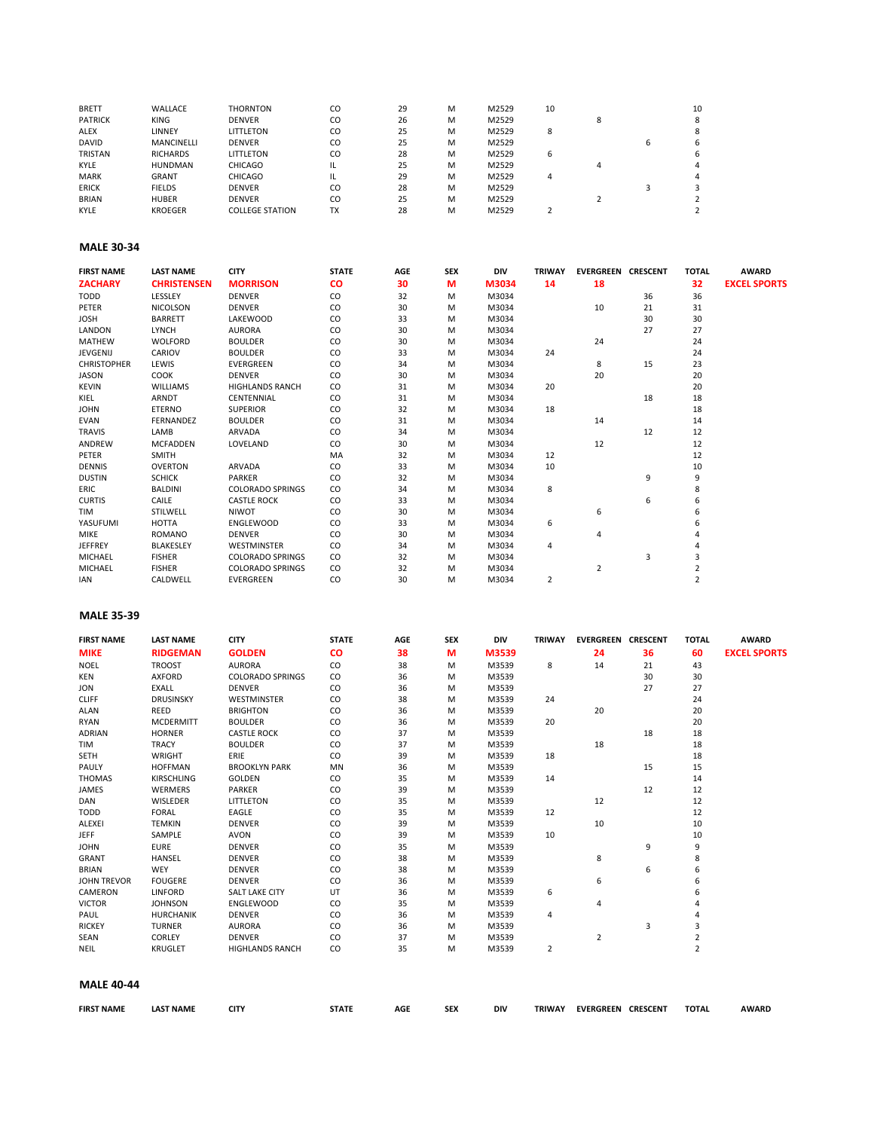| <b>BRETT</b>   | WALLACE           | <b>THORNTON</b>        | CO        | 29 | М | M2529 | 10 |  | 10 |
|----------------|-------------------|------------------------|-----------|----|---|-------|----|--|----|
| <b>PATRICK</b> | <b>KING</b>       | <b>DENVER</b>          | CO        | 26 | M | M2529 |    |  |    |
| ALEX           | LINNEY            | LITTLETON              | CO        | 25 | M | M2529 | 8  |  |    |
| <b>DAVID</b>   | <b>MANCINELLI</b> | <b>DENVER</b>          | CO        | 25 | M | M2529 |    |  |    |
| <b>TRISTAN</b> | <b>RICHARDS</b>   | LITTLETON              | CO        | 28 | M | M2529 | 6  |  |    |
| KYLE           | <b>HUNDMAN</b>    | CHICAGO                | IL        | 25 | M | M2529 |    |  |    |
| <b>MARK</b>    | <b>GRANT</b>      | CHICAGO                | IL        | 29 | M | M2529 | 4  |  |    |
| <b>ERICK</b>   | <b>FIELDS</b>     | <b>DENVER</b>          | CO        | 28 | M | M2529 |    |  |    |
| <b>BRIAN</b>   | <b>HUBER</b>      | <b>DENVER</b>          | CO        | 25 | M | M2529 |    |  |    |
| KYLE           | <b>KROEGER</b>    | <b>COLLEGE STATION</b> | <b>TX</b> | 28 | М | M2529 |    |  |    |

#### **MALE 30-34**

| <b>FIRST NAME</b>  | <b>LAST NAME</b>   | <b>CITY</b>             | <b>STATE</b> | AGE | <b>SEX</b> | DIV   | <b>TRIWAY</b> | <b>EVERGREEN</b> | <b>CRESCENT</b> | <b>TOTAL</b>   | <b>AWARD</b>        |
|--------------------|--------------------|-------------------------|--------------|-----|------------|-------|---------------|------------------|-----------------|----------------|---------------------|
| <b>ZACHARY</b>     | <b>CHRISTENSEN</b> | <b>MORRISON</b>         | <b>CO</b>    | 30  | м          | M3034 | 14            | 18               |                 | 32             | <b>EXCEL SPORTS</b> |
| <b>TODD</b>        | LESSLEY            | <b>DENVER</b>           | CO           | 32  | M          | M3034 |               |                  | 36              | 36             |                     |
| PETER              | <b>NICOLSON</b>    | <b>DENVER</b>           | CO           | 30  | M          | M3034 |               | 10               | 21              | 31             |                     |
| <b>JOSH</b>        | <b>BARRETT</b>     | LAKEWOOD                | CO           | 33  | M          | M3034 |               |                  | 30              | 30             |                     |
| LANDON             | <b>LYNCH</b>       | <b>AURORA</b>           | CO           | 30  | M          | M3034 |               |                  | 27              | 27             |                     |
| <b>MATHEW</b>      | <b>WOLFORD</b>     | <b>BOULDER</b>          | CO           | 30  | M          | M3034 |               | 24               |                 | 24             |                     |
| JEVGENIJ           | CARIOV             | <b>BOULDER</b>          | CO           | 33  | M          | M3034 | 24            |                  |                 | 24             |                     |
| <b>CHRISTOPHER</b> | LEWIS              | <b>EVERGREEN</b>        | CO           | 34  | M          | M3034 |               | 8                | 15              | 23             |                     |
| <b>JASON</b>       | COOK               | <b>DENVER</b>           | CO           | 30  | M          | M3034 |               | 20               |                 | 20             |                     |
| <b>KEVIN</b>       | <b>WILLIAMS</b>    | <b>HIGHLANDS RANCH</b>  | CO           | 31  | M          | M3034 | 20            |                  |                 | 20             |                     |
| KIEL               | <b>ARNDT</b>       | CENTENNIAL              | CO           | 31  | M          | M3034 |               |                  | 18              | 18             |                     |
| <b>JOHN</b>        | <b>ETERNO</b>      | <b>SUPERIOR</b>         | CO.          | 32  | M          | M3034 | 18            |                  |                 | 18             |                     |
| <b>EVAN</b>        | <b>FERNANDEZ</b>   | <b>BOULDER</b>          | CO           | 31  | M          | M3034 |               | 14               |                 | 14             |                     |
| <b>TRAVIS</b>      | LAMB               | ARVADA                  | CO           | 34  | M          | M3034 |               |                  | 12              | 12             |                     |
| ANDREW             | <b>MCFADDEN</b>    | LOVELAND                | CO           | 30  | M          | M3034 |               | 12               |                 | 12             |                     |
| PETER              | SMITH              |                         | MA           | 32  | M          | M3034 | 12            |                  |                 | 12             |                     |
| <b>DENNIS</b>      | OVERTON            | ARVADA                  | CO           | 33  | M          | M3034 | 10            |                  |                 | 10             |                     |
| <b>DUSTIN</b>      | <b>SCHICK</b>      | <b>PARKER</b>           | CO.          | 32  | M          | M3034 |               |                  | 9               | 9              |                     |
| <b>ERIC</b>        | <b>BALDINI</b>     | <b>COLORADO SPRINGS</b> | CO.          | 34  | M          | M3034 | 8             |                  |                 | 8              |                     |
| <b>CURTIS</b>      | CAILE              | <b>CASTLE ROCK</b>      | CO.          | 33  | M          | M3034 |               |                  | 6               | 6              |                     |
| <b>TIM</b>         | STILWELL           | <b>NIWOT</b>            | CO           | 30  | M          | M3034 |               | 6                |                 | 6              |                     |
| YASUFUMI           | HOTTA              | <b>ENGLEWOOD</b>        | CO           | 33  | M          | M3034 | 6             |                  |                 | 6              |                     |
| <b>MIKE</b>        | <b>ROMANO</b>      | <b>DENVER</b>           | CO.          | 30  | M          | M3034 |               | 4                |                 |                |                     |
| <b>JEFFREY</b>     | <b>BLAKESLEY</b>   | <b>WESTMINSTER</b>      | CO           | 34  | M          | M3034 | 4             |                  |                 |                |                     |
| MICHAEL            | <b>FISHER</b>      | <b>COLORADO SPRINGS</b> | CO.          | 32  | M          | M3034 |               |                  | 3               | 3              |                     |
| MICHAEL            | <b>FISHER</b>      | <b>COLORADO SPRINGS</b> | CO.          | 32  | M          | M3034 |               | 2                |                 |                |                     |
| <b>IAN</b>         | CALDWELL           | EVERGREEN               | CO           | 30  | M          | M3034 | 2             |                  |                 | $\overline{2}$ |                     |

#### **MALE 35-39**

| <b>FIRST NAME</b>  | <b>LAST NAME</b>  | <b>CITY</b>             | <b>STATE</b>  | AGE | SEX | DIV   | <b>TRIWAY</b> | <b>EVERGREEN</b>          | <b>CRESCENT</b> | <b>TOTAL</b>   | <b>AWARD</b>        |
|--------------------|-------------------|-------------------------|---------------|-----|-----|-------|---------------|---------------------------|-----------------|----------------|---------------------|
| <b>MIKE</b>        | <b>RIDGEMAN</b>   | <b>GOLDEN</b>           | <b>CO</b>     | 38  | м   | M3539 |               | 24                        | 36              | 60             | <b>EXCEL SPORTS</b> |
| <b>NOEL</b>        | <b>TROOST</b>     | <b>AURORA</b>           | CO            | 38  | M   | M3539 | 8             | 14                        | 21              | 43             |                     |
| KEN                | AXFORD            | <b>COLORADO SPRINGS</b> | CO            | 36  | M   | M3539 |               |                           | 30              | 30             |                     |
| <b>JON</b>         | EXALL             | <b>DENVER</b>           | CO            | 36  | M   | M3539 |               |                           | 27              | 27             |                     |
| <b>CLIFF</b>       | <b>DRUSINSKY</b>  | <b>WESTMINSTER</b>      | CO            | 38  | M   | M3539 | 24            |                           |                 | 24             |                     |
| ALAN               | <b>REED</b>       | <b>BRIGHTON</b>         | CO            | 36  | M   | M3539 |               | 20                        |                 | 20             |                     |
| <b>RYAN</b>        | <b>MCDERMITT</b>  | <b>BOULDER</b>          | CO            | 36  | M   | M3539 | 20            |                           |                 | 20             |                     |
| ADRIAN             | <b>HORNER</b>     | <b>CASTLE ROCK</b>      | CO            | 37  | M   | M3539 |               |                           | 18              | 18             |                     |
| TIM                | <b>TRACY</b>      | <b>BOULDER</b>          | CO            | 37  | M   | M3539 |               | 18                        |                 | 18             |                     |
| <b>SETH</b>        | WRIGHT            | ERIE                    | CO            | 39  | M   | M3539 | 18            |                           |                 | 18             |                     |
| PAULY              | <b>HOFFMAN</b>    | <b>BROOKLYN PARK</b>    | MN            | 36  | M   | M3539 |               |                           | 15              | 15             |                     |
| <b>THOMAS</b>      | <b>KIRSCHLING</b> | <b>GOLDEN</b>           | $\mathsf{co}$ | 35  | M   | M3539 | 14            |                           |                 | 14             |                     |
| JAMES              | WERMERS           | PARKER                  | CO            | 39  | M   | M3539 |               |                           | 12              | 12             |                     |
| DAN                | WISLEDER          | LITTLETON               | CO            | 35  | M   | M3539 |               | 12                        |                 | 12             |                     |
| TODD               | <b>FORAL</b>      | EAGLE                   | CO            | 35  | M   | M3539 | 12            |                           |                 | 12             |                     |
| ALEXEI             | <b>TEMKIN</b>     | <b>DENVER</b>           | CO            | 39  | M   | M3539 |               | 10                        |                 | 10             |                     |
| <b>JEFF</b>        | SAMPLE            | AVON                    | CO            | 39  | M   | M3539 | 10            |                           |                 | 10             |                     |
| <b>JOHN</b>        | <b>EURE</b>       | <b>DENVER</b>           | CO            | 35  | M   | M3539 |               |                           | 9               | 9              |                     |
| <b>GRANT</b>       | <b>HANSEL</b>     | <b>DENVER</b>           | $\mathsf{co}$ | 38  | M   | M3539 |               | 8                         |                 | 8              |                     |
| <b>BRIAN</b>       | <b>WEY</b>        | <b>DENVER</b>           | CO            | 38  | M   | M3539 |               |                           | 6               | 6              |                     |
| <b>JOHN TREVOR</b> | <b>FOUGERE</b>    | <b>DENVER</b>           | CO            | 36  | M   | M3539 |               | 6                         |                 | 6              |                     |
| CAMERON            | LINFORD           | <b>SALT LAKE CITY</b>   | UT            | 36  | M   | M3539 | 6             |                           |                 | 6              |                     |
| <b>VICTOR</b>      | <b>JOHNSON</b>    | <b>ENGLEWOOD</b>        | CO            | 35  | M   | M3539 |               | 4                         |                 |                |                     |
| PAUL               | <b>HURCHANIK</b>  | <b>DENVER</b>           | CO            | 36  | M   | M3539 | 4             |                           |                 |                |                     |
| <b>RICKEY</b>      | <b>TURNER</b>     | <b>AURORA</b>           | CO            | 36  | M   | M3539 |               |                           | 3               | 3              |                     |
| SEAN               | CORLEY            | <b>DENVER</b>           | CO            | 37  | M   | M3539 |               | 2                         |                 | $\overline{2}$ |                     |
| <b>NEIL</b>        | KRUGLET           | <b>HIGHLANDS RANCH</b>  | CO            | 35  | M   | M3539 | 2             |                           |                 | $\overline{2}$ |                     |
| <b>MALE 40-44</b>  |                   |                         |               |     |     |       |               |                           |                 |                |                     |
| <b>FIRST NAME</b>  | <b>LAST NAME</b>  | <b>CITY</b>             | <b>STATE</b>  | AGE | SEX | DIV   | <b>TRIWAY</b> | <b>EVERGREEN CRESCENT</b> |                 | <b>TOTAL</b>   | <b>AWARD</b>        |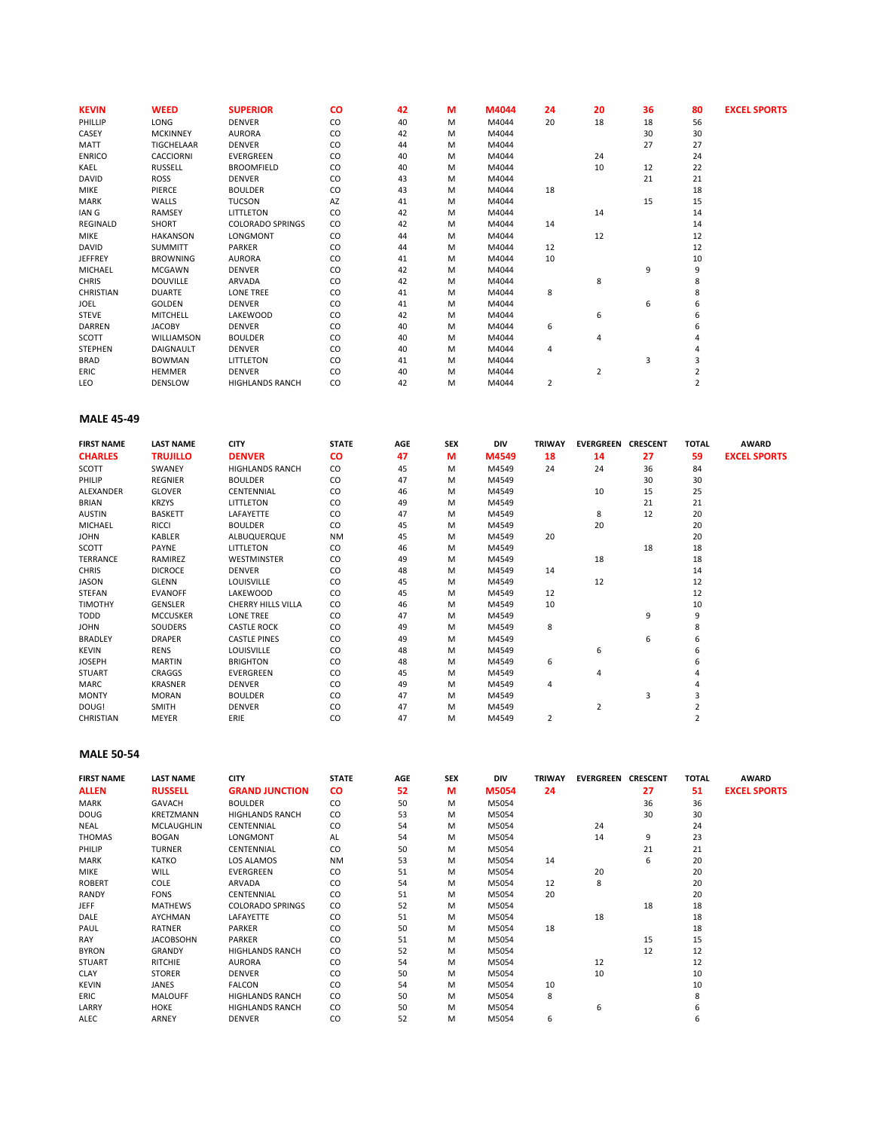| <b>KEVIN</b>   | <b>WEED</b>      | <b>SUPERIOR</b>         | <b>CO</b> | 42 | М | M4044 | 24 | 20             | 36 | 80 | <b>EXCEL SPORTS</b> |
|----------------|------------------|-------------------------|-----------|----|---|-------|----|----------------|----|----|---------------------|
| PHILLIP        | LONG             | <b>DENVER</b>           | CO        | 40 | M | M4044 | 20 | 18             | 18 | 56 |                     |
| CASEY          | <b>MCKINNEY</b>  | <b>AURORA</b>           | CO        | 42 | M | M4044 |    |                | 30 | 30 |                     |
| MATT           | TIGCHELAAR       | <b>DENVER</b>           | CO        | 44 | M | M4044 |    |                | 27 | 27 |                     |
| <b>ENRICO</b>  | <b>CACCIORNI</b> | <b>EVERGREEN</b>        | CO        | 40 | M | M4044 |    | 24             |    | 24 |                     |
| KAEL           | <b>RUSSELL</b>   | <b>BROOMFIELD</b>       | CO        | 40 | M | M4044 |    | 10             | 12 | 22 |                     |
| DAVID          | ROSS             | <b>DENVER</b>           | CO        | 43 | м | M4044 |    |                | 21 | 21 |                     |
| <b>MIKE</b>    | PIERCE           | <b>BOULDER</b>          | CO        | 43 | м | M4044 | 18 |                |    | 18 |                     |
| <b>MARK</b>    | WALLS            | <b>TUCSON</b>           | AZ        | 41 | M | M4044 |    |                | 15 | 15 |                     |
| IAN G          | <b>RAMSEY</b>    | <b>LITTLETON</b>        | CO        | 42 | M | M4044 |    | 14             |    | 14 |                     |
| REGINALD       | SHORT            | <b>COLORADO SPRINGS</b> | CO        | 42 | M | M4044 | 14 |                |    | 14 |                     |
| <b>MIKE</b>    | <b>HAKANSON</b>  | LONGMONT                | CO        | 44 | м | M4044 |    | 12             |    | 12 |                     |
| DAVID          | <b>SUMMITT</b>   | PARKER                  | CO        | 44 | м | M4044 | 12 |                |    | 12 |                     |
| <b>JEFFREY</b> | <b>BROWNING</b>  | <b>AURORA</b>           | CO        | 41 | M | M4044 | 10 |                |    | 10 |                     |
| MICHAEL        | MCGAWN           | <b>DENVER</b>           | CO        | 42 | M | M4044 |    |                | 9  | 9  |                     |
| <b>CHRIS</b>   | <b>DOUVILLE</b>  | ARVADA                  | CO        | 42 | M | M4044 |    | 8              |    | 8  |                     |
| CHRISTIAN      | <b>DUARTE</b>    | LONE TREE               | CO        | 41 | M | M4044 | 8  |                |    | 8  |                     |
| JOEL           | GOLDEN           | <b>DENVER</b>           | CO        | 41 | M | M4044 |    |                | 6  | 6  |                     |
| <b>STEVE</b>   | <b>MITCHELL</b>  | LAKEWOOD                | CO        | 42 | M | M4044 |    | 6              |    | 6  |                     |
| DARREN         | <b>JACOBY</b>    | <b>DENVER</b>           | CO        | 40 | M | M4044 | 6  |                |    | 6  |                     |
| SCOTT          | WILLIAMSON       | <b>BOULDER</b>          | CO        | 40 | M | M4044 |    | $\overline{4}$ |    |    |                     |
| <b>STEPHEN</b> | <b>DAIGNAULT</b> | <b>DENVER</b>           | CO        | 40 | M | M4044 | 4  |                |    |    |                     |
| <b>BRAD</b>    | <b>BOWMAN</b>    | LITTLETON               | CO        | 41 | M | M4044 |    |                | 3  | 3  |                     |
| ERIC           | <b>HEMMER</b>    | <b>DENVER</b>           | CO        | 40 | м | M4044 |    | $\overline{2}$ |    |    |                     |
| LEO            | <b>DENSLOW</b>   | <b>HIGHLANDS RANCH</b>  | CO        | 42 | м | M4044 | 2  |                |    |    |                     |

# **MALE 45-49**

| <b>FIRST NAME</b> | <b>LAST NAME</b> | <b>CITY</b>               | <b>STATE</b> | AGE | <b>SEX</b> | <b>DIV</b> | <b>TRIWAY</b> | EVERGREEN      | <b>CRESCENT</b> | <b>TOTAL</b> | <b>AWARD</b>        |
|-------------------|------------------|---------------------------|--------------|-----|------------|------------|---------------|----------------|-----------------|--------------|---------------------|
| <b>CHARLES</b>    | <b>TRUJILLO</b>  | <b>DENVER</b>             | <b>CO</b>    | 47  | М          | M4549      | 18            | 14             | 27              | 59           | <b>EXCEL SPORTS</b> |
| SCOTT             | SWANEY           | <b>HIGHLANDS RANCH</b>    | CO.          | 45  | м          | M4549      | 24            | 24             | 36              | 84           |                     |
| PHILIP            | <b>REGNIER</b>   | <b>BOULDER</b>            | CO           | 47  | м          | M4549      |               |                | 30              | 30           |                     |
| ALEXANDER         | <b>GLOVER</b>    | CENTENNIAL                | CO           | 46  | м          | M4549      |               | 10             | 15              | 25           |                     |
| <b>BRIAN</b>      | <b>KRZYS</b>     | <b>LITTLETON</b>          | CO           | 49  | м          | M4549      |               |                | 21              | 21           |                     |
| <b>AUSTIN</b>     | <b>BASKETT</b>   | LAFAYETTE                 | CO           | 47  | м          | M4549      |               | 8              | 12              | 20           |                     |
| MICHAEL           | <b>RICCI</b>     | <b>BOULDER</b>            | CO           | 45  | M          | M4549      |               | 20             |                 | 20           |                     |
| <b>JOHN</b>       | <b>KABLER</b>    | <b>ALBUQUERQUE</b>        | <b>NM</b>    | 45  | м          | M4549      | 20            |                |                 | 20           |                     |
| SCOTT             | PAYNE            | LITTLETON                 | CO.          | 46  | м          | M4549      |               |                | 18              | 18           |                     |
| TERRANCE          | RAMIREZ          | <b>WESTMINSTER</b>        | CO           | 49  | м          | M4549      |               | 18             |                 | 18           |                     |
| <b>CHRIS</b>      | <b>DICROCE</b>   | <b>DENVER</b>             | CO           | 48  | м          | M4549      | 14            |                |                 | 14           |                     |
| JASON             | GLENN            | <b>LOUISVILLE</b>         | CO           | 45  | M          | M4549      |               | 12             |                 | 12           |                     |
| <b>STEFAN</b>     | <b>EVANOFF</b>   | LAKEWOOD                  | CO           | 45  | M          | M4549      | 12            |                |                 | 12           |                     |
| <b>TIMOTHY</b>    | <b>GENSLER</b>   | <b>CHERRY HILLS VILLA</b> | CO           | 46  | M          | M4549      | 10            |                |                 | 10           |                     |
| TODD              | <b>MCCUSKER</b>  | <b>LONE TREE</b>          | CO.          | 47  | м          | M4549      |               |                | 9               | 9            |                     |
| <b>JOHN</b>       | SOUDERS          | <b>CASTLE ROCK</b>        | CO           | 49  | м          | M4549      | 8             |                |                 | 8            |                     |
| <b>BRADLEY</b>    | <b>DRAPER</b>    | <b>CASTLE PINES</b>       | CO           | 49  | M          | M4549      |               |                | 6               | 6            |                     |
| <b>KEVIN</b>      | <b>RENS</b>      | <b>LOUISVILLE</b>         | CO           | 48  | M          | M4549      |               | 6              |                 | 6            |                     |
| <b>JOSEPH</b>     | <b>MARTIN</b>    | <b>BRIGHTON</b>           | CO           | 48  | M          | M4549      | 6             |                |                 | 6            |                     |
| <b>STUART</b>     | <b>CRAGGS</b>    | <b>EVERGREEN</b>          | CO           | 45  | м          | M4549      |               | $\Delta$       |                 |              |                     |
| MARC              | <b>KRASNER</b>   | <b>DENVER</b>             | CO           | 49  | м          | M4549      | 4             |                |                 |              |                     |
| <b>MONTY</b>      | <b>MORAN</b>     | <b>BOULDER</b>            | CO           | 47  | м          | M4549      |               |                | 3               | 3            |                     |
| DOUG!             | SMITH            | <b>DENVER</b>             | CO           | 47  | м          | M4549      |               | $\overline{2}$ |                 |              |                     |
| <b>CHRISTIAN</b>  | MEYER            | ERIE                      | CO           | 47  | M          | M4549      | 2             |                |                 |              |                     |

# **MALE 50-54**

| <b>FIRST NAME</b> | <b>LAST NAME</b>  | <b>CITY</b>             | <b>STATE</b> | AGE | <b>SEX</b> | <b>DIV</b> | <b>TRIWAY</b> | <b>EVERGREEN CRESCENT</b> |    | <b>TOTAL</b> | <b>AWARD</b>        |
|-------------------|-------------------|-------------------------|--------------|-----|------------|------------|---------------|---------------------------|----|--------------|---------------------|
| <b>ALLEN</b>      | <b>RUSSELL</b>    | <b>GRAND JUNCTION</b>   | <b>CO</b>    | 52  | М          | M5054      | 24            |                           | 27 | 51           | <b>EXCEL SPORTS</b> |
| <b>MARK</b>       | <b>GAVACH</b>     | <b>BOULDER</b>          | CO           | 50  | м          | M5054      |               |                           | 36 | 36           |                     |
| <b>DOUG</b>       | KRETZMANN         | <b>HIGHLANDS RANCH</b>  | CO.          | 53  | м          | M5054      |               |                           | 30 | 30           |                     |
| <b>NEAL</b>       | <b>MCLAUGHLIN</b> | CENTENNIAL              | CO           | 54  | м          | M5054      |               | 24                        |    | 24           |                     |
| <b>THOMAS</b>     | <b>BOGAN</b>      | LONGMONT                | AL           | 54  | м          | M5054      |               | 14                        | 9  | 23           |                     |
| PHILIP            | <b>TURNER</b>     | CENTENNIAL              | CO           | 50  | м          | M5054      |               |                           | 21 | 21           |                     |
| <b>MARK</b>       | <b>KATKO</b>      | LOS ALAMOS              | <b>NM</b>    | 53  | м          | M5054      | 14            |                           | 6  | 20           |                     |
| <b>MIKE</b>       | <b>WILL</b>       | <b>EVERGREEN</b>        | CO           | 51  | м          | M5054      |               | 20                        |    | 20           |                     |
| <b>ROBERT</b>     | COLE              | ARVADA                  | CO           | 54  | м          | M5054      | 12            | 8                         |    | 20           |                     |
| RANDY             | <b>FONS</b>       | CENTENNIAL              | CO           | 51  | м          | M5054      | 20            |                           |    | 20           |                     |
| <b>JEFF</b>       | <b>MATHEWS</b>    | <b>COLORADO SPRINGS</b> | CO.          | 52  | м          | M5054      |               |                           | 18 | 18           |                     |
| DALE              | AYCHMAN           | LAFAYETTE               | CO           | 51  | м          | M5054      |               | 18                        |    | 18           |                     |
| PAUL              | RATNER            | PARKER                  | CO           | 50  | м          | M5054      | 18            |                           |    | 18           |                     |
| RAY               | <b>JACOBSOHN</b>  | PARKER                  | CO           | 51  | м          | M5054      |               |                           | 15 | 15           |                     |
| <b>BYRON</b>      | GRANDY            | <b>HIGHLANDS RANCH</b>  | CO           | 52  | M          | M5054      |               |                           | 12 | 12           |                     |
| <b>STUART</b>     | <b>RITCHIE</b>    | <b>AURORA</b>           | CO           | 54  | м          | M5054      |               | 12                        |    | 12           |                     |
| CLAY              | <b>STORER</b>     | <b>DENVER</b>           | CO           | 50  | м          | M5054      |               | 10                        |    | 10           |                     |
| <b>KEVIN</b>      | JANES             | <b>FALCON</b>           | CO           | 54  | м          | M5054      | 10            |                           |    | 10           |                     |
| ERIC              | <b>MALOUFF</b>    | <b>HIGHLANDS RANCH</b>  | CO           | 50  | м          | M5054      | 8             |                           |    |              |                     |
| LARRY             | HOKE              | <b>HIGHLANDS RANCH</b>  | CO.          | 50  | M          | M5054      |               | 6                         |    |              |                     |
| ALEC              | ARNEY             | <b>DENVER</b>           | CO           | 52  | м          | M5054      | 6             |                           |    | 6            |                     |